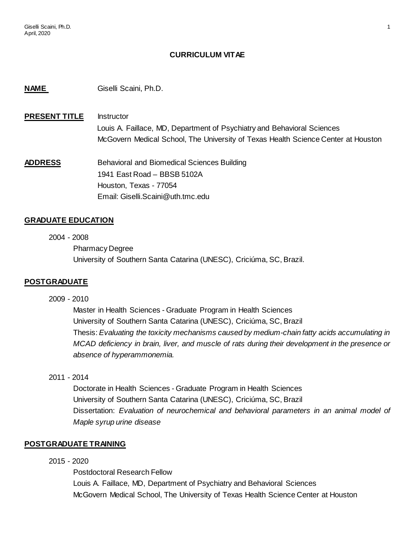### **CURRICULUM VITAE**

#### **NAME** Giselli Scaini, Ph.D.

# **PRESENT TITLE** Instructor Louis A. Faillace, MD, Department of Psychiatry and Behavioral Sciences McGovern Medical School, The University of Texas Health Science Center at Houston

**ADDRESS** Behavioral and Biomedical Sciences Building 1941 East Road – BBSB 5102A Houston, Texas - 77054 Email: Giselli.Scaini@uth.tmc.edu

#### **GRADUATE EDUCATION**

2004 - 2008 Pharmacy Degree University of Southern Santa Catarina (UNESC), Criciúma, SC, Brazil.

#### **POSTGRADUATE**

2009 - 2010

Master in Health Sciences - Graduate Program in Health Sciences University of Southern Santa Catarina (UNESC), Criciúma, SC, Brazil Thesis: *Evaluating the toxicity mechanisms caused by medium-chain fatty acids accumulating in MCAD deficiency in brain, liver, and muscle of rats during their development in the presence or absence of hyperammonemia.*

2011 - 2014

Doctorate in Health Sciences - Graduate Program in Health Sciences University of Southern Santa Catarina (UNESC), Criciúma, SC, Brazil Dissertation: *Evaluation of neurochemical and behavioral parameters in an animal model of Maple syrup urine disease*

#### **POSTGRADUATE TRAINING**

#### 2015 - 2020

Postdoctoral Research Fellow Louis A. Faillace, MD, Department of Psychiatry and Behavioral Sciences McGovern Medical School, The University of Texas Health Science Center at Houston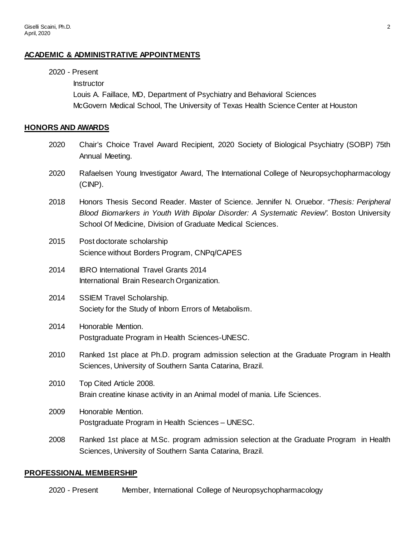2020 - Present

### **ACADEMIC & ADMINISTRATIVE APPOINTMENTS**

**Instructor** Louis A. Faillace, MD, Department of Psychiatry and Behavioral Sciences McGovern Medical School, The University of Texas Health Science Center at Houston **HONORS AND AWARDS** 2020 Chair's Choice Travel Award Recipient, 2020 Society of Biological Psychiatry (SOBP) 75th Annual Meeting. 2020 Rafaelsen Young Investigator Award, The International College of Neuropsychopharmacology (CINP). 2018 Honors Thesis Second Reader. Master of Science. Jennifer N. Oruebor. *"Thesis: Peripheral*  **Blood Biomarkers in Youth With Bipolar Disorder: A Systematic Review". Boston University** School Of Medicine, Division of Graduate Medical Sciences. 2015 Post doctorate scholarship Science without Borders Program, CNPq/CAPES 2014 IBRO International Travel Grants 2014 International Brain Research Organization. 2014 SSIEM Travel Scholarship. Society for the Study of Inborn Errors of Metabolism. 2014 Honorable Mention. Postgraduate Program in Health Sciences-UNESC. 2010 Ranked 1st place at Ph.D. program admission selection at the Graduate Program in Health Sciences, University of Southern Santa Catarina, Brazil. 2010 Top Cited Article 2008. Brain creatine kinase activity in an Animal model of mania. Life Sciences. 2009 Honorable Mention. Postgraduate Program in Health Sciences – UNESC. 2008 Ranked 1st place at M.Sc. program admission selection at the Graduate Program in Health Sciences, University of Southern Santa Catarina, Brazil.

### **PROFESSIONAL MEMBERSHIP**

2020 - Present Member, International College of Neuropsychopharmacology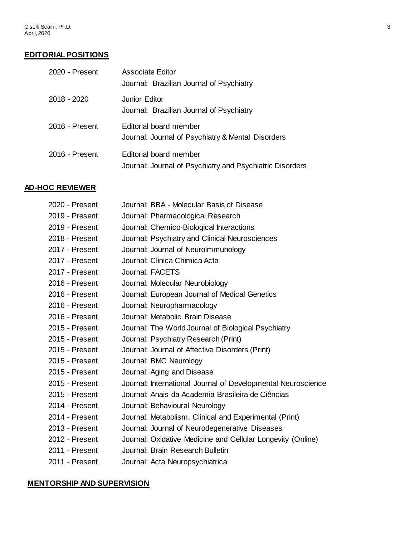# **EDITORIAL POSITIONS**

| 2020 - Present | <b>Associate Editor</b><br>Journal: Brazilian Journal of Psychiatry                |
|----------------|------------------------------------------------------------------------------------|
| 2018 - 2020    | <b>Junior Editor</b><br>Journal: Brazilian Journal of Psychiatry                   |
| 2016 - Present | Editorial board member<br>Journal: Journal of Psychiatry & Mental Disorders        |
| 2016 - Present | Editorial board member<br>Journal: Journal of Psychiatry and Psychiatric Disorders |

# **AD-HOC REVIEWER**

| 2020 - Present | Journal: BBA - Molecular Basis of Disease                    |
|----------------|--------------------------------------------------------------|
| 2019 - Present | Journal: Pharmacological Research                            |
| 2019 - Present | Journal: Chemico-Biological Interactions                     |
| 2018 - Present | Journal: Psychiatry and Clinical Neurosciences               |
| 2017 - Present | Journal: Journal of Neuroimmunology                          |
| 2017 - Present | Journal: Clinica Chimica Acta                                |
| 2017 - Present | Journal: FACETS                                              |
| 2016 - Present | Journal: Molecular Neurobiology                              |
| 2016 - Present | Journal: European Journal of Medical Genetics                |
| 2016 - Present | Journal: Neuropharmacology                                   |
| 2016 - Present | Journal: Metabolic Brain Disease                             |
| 2015 - Present | Journal: The World Journal of Biological Psychiatry          |
| 2015 - Present | Journal: Psychiatry Research (Print)                         |
| 2015 - Present | Journal: Journal of Affective Disorders (Print)              |
| 2015 - Present | Journal: BMC Neurology                                       |
| 2015 - Present | Journal: Aging and Disease                                   |
| 2015 - Present | Journal: International Journal of Developmental Neuroscience |
| 2015 - Present | Journal: Anais da Academia Brasileira de Ciências            |
| 2014 - Present | Journal: Behavioural Neurology                               |
| 2014 - Present | Journal: Metabolism, Clinical and Experimental (Print)       |
| 2013 - Present | Journal: Journal of Neurodegenerative Diseases               |
| 2012 - Present | Journal: Oxidative Medicine and Cellular Longevity (Online)  |
| 2011 - Present | Journal: Brain Research Bulletin                             |
| 2011 - Present | Journal: Acta Neuropsychiatrica                              |

### **MENTORSHIP AND SUPERVISION**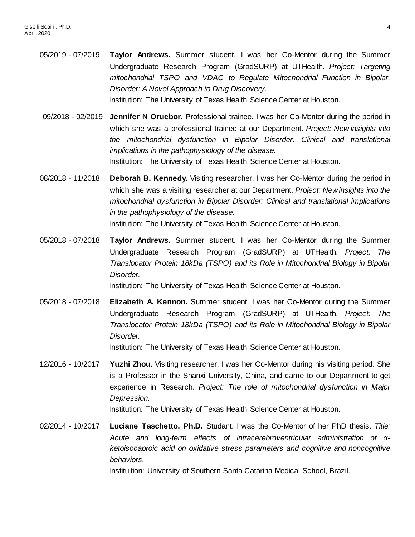05/2019 - 07/2019 **Taylor Andrews.** Summer student. I was her Co-Mentor during the Summer Undergraduate Research Program (GradSURP) at UTHealth. *Project: Targeting mitochondrial TSPO and VDAC to Regulate Mitochondrial Function in Bipolar. Disorder: A Novel Approach to Drug Discovery.*  Institution: The University of Texas Health Science Center at Houston.

09/2018 - 02/2019 **Jennifer N Oruebor.** Professional trainee. I was her Co-Mentor during the period in which she was a professional trainee at our Department. *Project: New insights into the mitochondrial dysfunction in Bipolar Disorder: Clinical and translational implications in the pathophysiology of the disease.* Institution: The University of Texas Health Science Center at Houston.

- 08/2018 11/2018 **Deborah B. Kennedy.** Visiting researcher. I was her Co-Mentor during the period in which she was a visiting researcher at our Department. *Project: New insights into the mitochondrial dysfunction in Bipolar Disorder: Clinical and translational implications in the pathophysiology of the disease.* Institution: The University of Texas Health Science Center at Houston.
- 05/2018 07/2018 **Taylor Andrews.** Summer student. I was her Co-Mentor during the Summer Undergraduate Research Program (GradSURP) at UTHealth. *Project: The Translocator Protein 18kDa (TSPO) and its Role in Mitochondrial Biology in Bipolar Disorder.*

Institution: The University of Texas Health Science Center at Houston.

05/2018 - 07/2018 **Elizabeth A. Kennon.** Summer student. I was her Co-Mentor during the Summer Undergraduate Research Program (GradSURP) at UTHealth. *Project: The Translocator Protein 18kDa (TSPO) and its Role in Mitochondrial Biology in Bipolar Disorder.*

Institution: The University of Texas Health Science Center at Houston.

12/2016 - 10/2017 **Yuzhi Zhou.** Visiting researcher. I was her Co-Mentor during his visiting period. She is a Professor in the Shanxi University, China, and came to our Department to get experience in Research. *Project: The role of mitochondrial dysfunction in Major Depression.*

Institution: The University of Texas Health Science Center at Houston.

02/2014 - 10/2017 **Luciane Taschetto. Ph.D.** Studant. I was the Co-Mentor of her PhD thesis. *Title: Acute and long-term effects of intracerebroventricular administration of αketoisocaproic acid on oxidative stress parameters and cognitive and noncognitive behaviors.*

Instituition: University of Southern Santa Catarina Medical School, Brazil.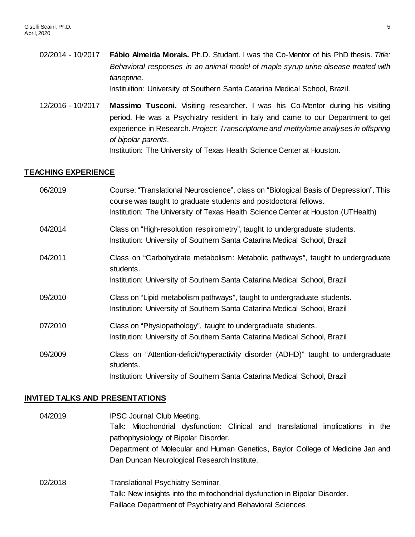02/2014 - 10/2017 **Fábio Almeida Morais.** Ph.D. Studant. I was the Co-Mentor of his PhD thesis. *Title: Behavioral responses in an animal model of maple syrup urine disease treated with tianeptine*. Instituition: University of Southern Santa Catarina Medical School, Brazil.

12/2016 - 10/2017 **Massimo Tusconi.** Visiting researcher. I was his Co-Mentor during his visiting period. He was a Psychiatry resident in Italy and came to our Department to get experience in Research. *Project: Transcriptome and methylome analyses in offspring of bipolar parents.*

Institution: The University of Texas Health Science Center at Houston.

### **TEACHING EXPERIENCE**

| 06/2019 | Course: "Translational Neuroscience", class on "Biological Basis of Depression". This<br>course was taught to graduate students and postdoctoral fellows.<br>Institution: The University of Texas Health Science Center at Houston (UTHealth) |
|---------|-----------------------------------------------------------------------------------------------------------------------------------------------------------------------------------------------------------------------------------------------|
| 04/2014 | Class on "High-resolution respirometry", taught to undergraduate students.<br>Institution: University of Southern Santa Catarina Medical School, Brazil                                                                                       |
| 04/2011 | Class on "Carbohydrate metabolism: Metabolic pathways", taught to undergraduate<br>students.<br>Institution: University of Southern Santa Catarina Medical School, Brazil                                                                     |
| 09/2010 | Class on "Lipid metabolism pathways", taught to undergraduate students.<br>Institution: University of Southern Santa Catarina Medical School, Brazil                                                                                          |
| 07/2010 | Class on "Physiopathology", taught to undergraduate students.<br>Institution: University of Southern Santa Catarina Medical School, Brazil                                                                                                    |
| 09/2009 | Class on "Attention-deficit/hyperactivity disorder (ADHD)" taught to undergraduate<br>students.<br>Institution: University of Southern Santa Catarina Medical School, Brazil                                                                  |

#### **INVITED TALKS AND PRESENTATIONS**

| 04/2019 | <b>IPSC Journal Club Meeting.</b>                                               |
|---------|---------------------------------------------------------------------------------|
|         | Talk: Mitochondrial dysfunction: Clinical and translational implications in the |
|         | pathophysiology of Bipolar Disorder.                                            |
|         | Department of Molecular and Human Genetics, Baylor College of Medicine Jan and  |
|         | Dan Duncan Neurological Research Institute.                                     |
| 02/2018 | <b>Translational Psychiatry Seminar.</b>                                        |
|         | Talk: New insights into the mitochondrial dysfunction in Bipolar Disorder.      |
|         | Faillace Department of Psychiatry and Behavioral Sciences.                      |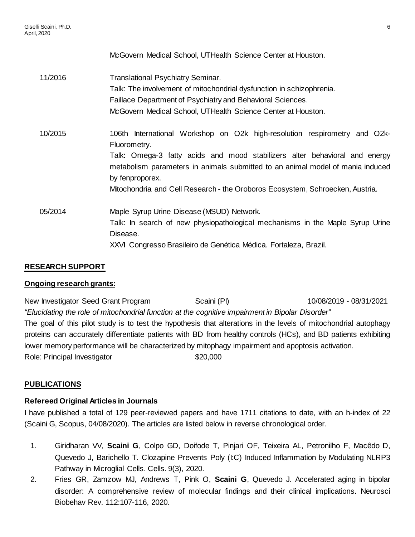McGovern Medical School, UTHealth Science Center at Houston. 11/2016 Translational Psychiatry Seminar. Talk: The involvement of mitochondrial dysfunction in schizophrenia. Faillace Department of Psychiatry and Behavioral Sciences. McGovern Medical School, UTHealth Science Center at Houston. 10/2015 106th International Workshop on O2k high-resolution respirometry and O2k-Fluorometry. Talk: Omega-3 fatty acids and mood stabilizers alter behavioral and energy metabolism parameters in animals submitted to an animal model of mania induced by fenproporex. Mitochondria and Cell Research - the Oroboros Ecosystem, Schroecken, Austria.

05/2014 Maple Syrup Urine Disease (MSUD) Network. Talk: In search of new physiopathological mechanisms in the Maple Syrup Urine Disease. XXVI Congresso Brasileiro de Genética Médica. Fortaleza, Brazil.

# **RESEARCH SUPPORT**

## **Ongoing research grants:**

New Investigator Seed Grant Program Scaini (PI) 10/08/2019 - 08/31/2021 *"Elucidating the role of mitochondrial function at the cognitive impairment in Bipolar Disorder"* The goal of this pilot study is to test the hypothesis that alterations in the levels of mitochondrial autophagy proteins can accurately differentiate patients with BD from healthy controls (HCs), and BD patients exhibiting lower memory performance will be characterized by mitophagy impairment and apoptosis activation. Role: Principal Investigator \$20,000

# **PUBLICATIONS**

## **Refereed Original Articles in Journals**

I have published a total of 129 peer-reviewed papers and have 1711 citations to date, with an h-index of 22 (Scaini G, Scopus, 04/08/2020). The articles are listed below in reverse chronological order.

- 1. Giridharan VV, **Scaini G**, Colpo GD, Doifode T, Pinjari OF, Teixeira AL, Petronilho F, Macêdo D, Quevedo J, Barichello T. Clozapine Prevents Poly (I:C) Induced Inflammation by Modulating NLRP3 Pathway in Microglial Cells. Cells. 9(3), 2020.
- 2. Fries GR, Zamzow MJ, Andrews T, Pink O, **Scaini G**, Quevedo J. Accelerated aging in bipolar disorder: A comprehensive review of molecular findings and their clinical implications. Neurosci Biobehav Rev. 112:107-116, 2020.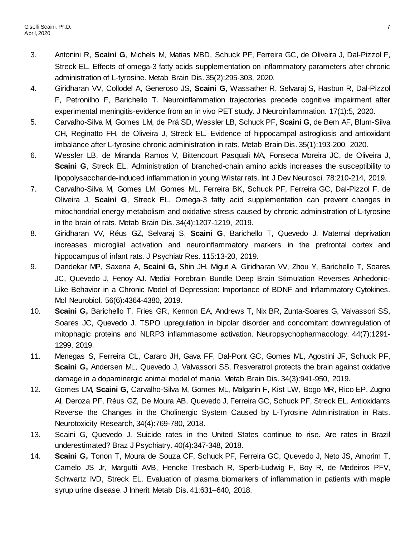- 3. Antonini R, **Scaini G**, Michels M, Matias MBD, Schuck PF, Ferreira GC, de Oliveira J, Dal-Pizzol F, Streck EL. Effects of omega-3 fatty acids supplementation on inflammatory parameters after chronic administration of L-tyrosine. Metab Brain Dis. 35(2):295-303, 2020.
- 4. Giridharan VV, Collodel A, Generoso JS, **Scaini G**, Wassather R, Selvaraj S, Hasbun R, Dal-Pizzol F, Petronilho F, Barichello T. Neuroinflammation trajectories precede cognitive impairment after experimental meningitis-evidence from an in vivo PET study. J Neuroinflammation. 17(1):5, 2020.
- 5. Carvalho-Silva M, Gomes LM, de Prá SD, Wessler LB, Schuck PF, **Scaini G**, de Bem AF, Blum-Silva CH, Reginatto FH, de Oliveira J, Streck EL. Evidence of hippocampal astrogliosis and antioxidant imbalance after L-tyrosine chronic administration in rats. Metab Brain Dis. 35(1):193-200, 2020.
- 6. Wessler LB, de Miranda Ramos V, Bittencourt Pasquali MA, Fonseca Moreira JC, de Oliveira J, **Scaini G**, Streck EL. Administration of branched-chain amino acids increases the susceptibility to lipopolysaccharide-induced inflammation in young Wistar rats. Int J Dev Neurosci. 78:210-214, 2019.
- 7. Carvalho-Silva M, Gomes LM, Gomes ML, Ferreira BK, Schuck PF, Ferreira GC, Dal-Pizzol F, de Oliveira J, **Scaini G**, Streck EL. Omega-3 fatty acid supplementation can prevent changes in mitochondrial energy metabolism and oxidative stress caused by chronic administration of L-tyrosine in the brain of rats. Metab Brain Dis. 34(4):1207-1219, 2019.
- 8. Giridharan VV, Réus GZ, Selvaraj S, **Scaini G**, Barichello T, Quevedo J. Maternal deprivation increases microglial activation and neuroinflammatory markers in the prefrontal cortex and hippocampus of infant rats. J Psychiatr Res. 115:13-20, 2019.
- 9. Dandekar MP, Saxena A, **Scaini G,** Shin JH, Migut A, Giridharan VV, Zhou Y, Barichello T, Soares JC, Quevedo J, Fenoy AJ. Medial Forebrain Bundle Deep Brain Stimulation Reverses Anhedonic-Like Behavior in a Chronic Model of Depression: Importance of BDNF and Inflammatory Cytokines. Mol Neurobiol. 56(6):4364-4380, 2019.
- 10. **Scaini G,** Barichello T, Fries GR, Kennon EA, Andrews T, Nix BR, Zunta-Soares G, Valvassori SS, Soares JC, Quevedo J. TSPO upregulation in bipolar disorder and concomitant downregulation of mitophagic proteins and NLRP3 inflammasome activation. Neuropsychopharmacology. 44(7):1291- 1299, 2019.
- 11. Menegas S, Ferreira CL, Cararo JH, Gava FF, Dal-Pont GC, Gomes ML, Agostini JF, Schuck PF, **Scaini G,** Andersen ML, Quevedo J, Valvassori SS. Resveratrol protects the brain against oxidative damage in a dopaminergic animal model of mania. Metab Brain Dis. 34(3):941-950, 2019.
- 12. Gomes LM, **Scaini G,** Carvalho-Silva M, Gomes ML, Malgarin F, Kist LW, Bogo MR, Rico EP, Zugno AI, Deroza PF, Réus GZ, De Moura AB, Quevedo J, Ferreira GC, Schuck PF, Streck EL. Antioxidants Reverse the Changes in the Cholinergic System Caused by L-Tyrosine Administration in Rats. Neurotoxicity Research, 34(4):769-780, 2018.
- 13. Scaini G, Quevedo J. Suicide rates in the United States continue to rise. Are rates in Brazil underestimated? Braz J Psychiatry. 40(4):347-348, 2018.
- 14. **Scaini G,** Tonon T, Moura de Souza CF, Schuck PF, Ferreira GC, Quevedo J, Neto JS, Amorim T, Camelo JS Jr, Margutti AVB, Hencke Tresbach R, Sperb-Ludwig F, Boy R, de Medeiros PFV, Schwartz IVD, Streck EL. Evaluation of plasma biomarkers of inflammation in patients with maple syrup urine disease. J Inherit Metab Dis. 41:631–640, 2018.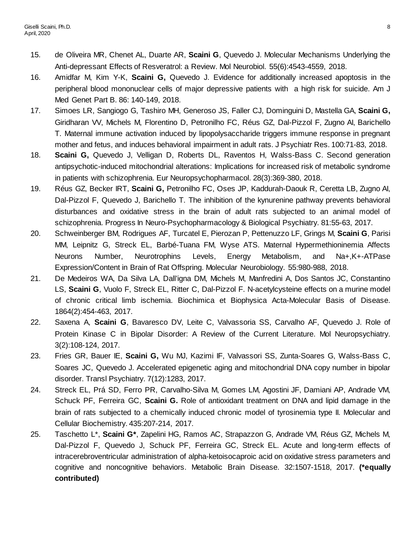- 15. de Oliveira MR, Chenet AL, Duarte AR, **Scaini G**, Quevedo J. Molecular Mechanisms Underlying the Anti-depressant Effects of Resveratrol: a Review. Mol Neurobiol. 55(6):4543-4559, 2018.
- 16. Amidfar M, Kim Y-K, **Scaini G,** Quevedo J. Evidence for additionally increased apoptosis in the peripheral blood mononuclear cells of major depressive patients with a high risk for suicide. Am J Med Genet Part B. 86: 140-149, 2018.
- 17. Simoes LR, Sangiogo G, Tashiro MH, Generoso JS, Faller CJ, Dominguini D, Mastella GA, **Scaini G,** Giridharan VV, Michels M, Florentino D, Petronilho FC, Réus GZ, Dal-Pizzol F, Zugno AI, Barichello T. Maternal immune activation induced by lipopolysaccharide triggers immune response in pregnant mother and fetus, and induces behavioral impairment in adult rats. J Psychiatr Res. 100:71-83, 2018.
- 18. **Scaini G,** Quevedo J, Velligan D, Roberts DL, Raventos H, Walss-Bass C. Second generation antipsychotic-induced mitochondrial alterations: Implications for increased risk of metabolic syndrome in patients with schizophrenia. Eur Neuropsychopharmacol. 28(3):369-380, 2018.
- 19. Réus GZ, Becker IRT, **Scaini G,** Petronilho FC, Oses JP, Kaddurah-Daouk R, Ceretta LB, Zugno AI, Dal-Pizzol F, Quevedo J, Barichello T. The inhibition of the kynurenine pathway prevents behavioral disturbances and oxidative stress in the brain of adult rats subjected to an animal model of schizophrenia. Progress In Neuro-Psychopharmacology & Biological Psychiatry. 81:55-63, 2017.
- 20. Schweinberger BM, Rodrigues AF, Turcatel E, Pierozan P, Pettenuzzo LF, Grings M, **Scaini G**, Parisi MM, Leipnitz G, Streck EL, Barbé-Tuana FM, Wyse ATS. Maternal Hypermethioninemia Affects Neurons Number, Neurotrophins Levels, Energy Metabolism, and Na+,K+-ATPase Expression/Content in Brain of Rat Offspring. Molecular Neurobiology. 55:980-988, 2018.
- 21. De Medeiros WA, Da Silva LA, Dall'igna DM, Michels M, Manfredini A, Dos Santos JC, Constantino LS, **Scaini G**, Vuolo F, Streck EL, Ritter C, Dal-Pizzol F. N-acetylcysteine effects on a murine model of chronic critical limb ischemia. Biochimica et Biophysica Acta-Molecular Basis of Disease. 1864(2):454-463, 2017.
- 22. Saxena A, **Scaini G**, Bavaresco DV, Leite C, Valvassoria SS, Carvalho AF, Quevedo J. Role of Protein Kinase C in Bipolar Disorder: A Review of the Current Literature. Mol Neuropsychiatry. 3(2):108-124, 2017.
- 23. Fries GR, Bauer IE, **Scaini G,** Wu MJ, Kazimi IF, Valvassori SS, Zunta-Soares G, Walss-Bass C, Soares JC, Quevedo J. Accelerated epigenetic aging and mitochondrial DNA copy number in bipolar disorder. Transl Psychiatry. 7(12):1283, 2017.
- 24. Streck EL, Prá SD, Ferro PR, Carvalho-Silva M, Gomes LM, Agostini JF, Damiani AP, Andrade VM, Schuck PF, Ferreira GC, **Scaini G.** Role of antioxidant treatment on DNA and lipid damage in the brain of rats subjected to a chemically induced chronic model of tyrosinemia type II. Molecular and Cellular Biochemistry. 435:207-214, 2017.
- 25. Taschetto L\*, **Scaini G\***, Zapelini HG, Ramos AC, Strapazzon G, Andrade VM, Réus GZ, Michels M, Dal-Pizzol F, Quevedo J, Schuck PF, Ferreira GC, Streck EL. Acute and long-term effects of intracerebroventricular administration of alpha-ketoisocaproic acid on oxidative stress parameters and cognitive and noncognitive behaviors. Metabolic Brain Disease. 32:1507-1518, 2017. **(\*equally contributed)**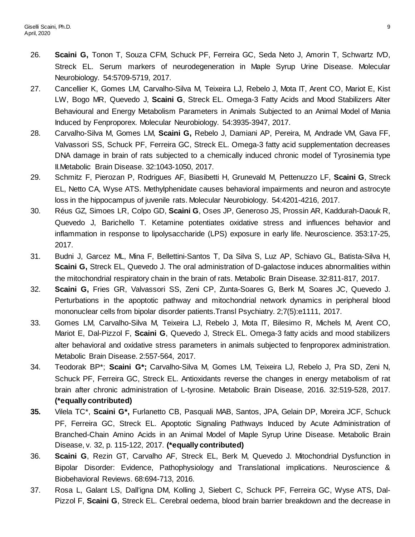- 26. **Scaini G,** Tonon T, Souza CFM, Schuck PF, Ferreira GC, Seda Neto J, Amorin T, Schwartz IVD, Streck EL. Serum markers of neurodegeneration in Maple Syrup Urine Disease. Molecular Neurobiology. 54:5709-5719, 2017.
- 27. Cancellier K, Gomes LM, Carvalho-Silva M, Teixeira LJ, Rebelo J, Mota IT, Arent CO, Mariot E, Kist LW, Bogo MR, Quevedo J, **Scaini G**, Streck EL. Omega-3 Fatty Acids and Mood Stabilizers Alter Behavioural and Energy Metabolism Parameters in Animals Subjected to an Animal Model of Mania Induced by Fenproporex. Molecular Neurobiology. 54:3935-3947, 2017.
- 28. Carvalho-Silva M, Gomes LM, **Scaini G,** Rebelo J, Damiani AP, Pereira, M, Andrade VM, Gava FF, Valvassori SS, Schuck PF, Ferreira GC, Streck EL. Omega-3 fatty acid supplementation decreases DNA damage in brain of rats subjected to a chemically induced chronic model of Tyrosinemia type II.Metabolic Brain Disease. 32:1043-1050, 2017.
- 29. Schmitz F, Pierozan P, Rodrigues AF, Biasibetti H, Grunevald M, Pettenuzzo LF, **Scaini G**, Streck EL, Netto CA, Wyse ATS. Methylphenidate causes behavioral impairments and neuron and astrocyte loss in the hippocampus of juvenile rats. Molecular Neurobiology. 54:4201-4216, 2017.
- 30. Réus GZ, Simoes LR, Colpo GD, **Scaini G**, Oses JP, Generoso JS, Prossin AR, Kaddurah-Daouk R, Quevedo J, Barichello T. Ketamine potentiates oxidative stress and influences behavior and inflammation in response to lipolysaccharide (LPS) exposure in early life. Neuroscience. 353:17-25, 2017.
- 31. Budni J, Garcez ML, Mina F, Bellettini-Santos T, Da Silva S, Luz AP, Schiavo GL, Batista-Silva H, **Scaini G,** Streck EL, Quevedo J. The oral administration of D-galactose induces abnormalities within the mitochondrial respiratory chain in the brain of rats. Metabolic Brain Disease. 32:811-817, 2017.
- 32. **Scaini G,** Fries GR, Valvassori SS, Zeni CP, Zunta-Soares G, Berk M, Soares JC, Quevedo J. Perturbations in the apoptotic pathway and mitochondrial network dynamics in peripheral blood mononuclear cells from bipolar disorder patients.Transl Psychiatry. 2;7(5):e1111, 2017.
- 33. Gomes LM, Carvalho-Silva M, Teixeira LJ, Rebelo J, Mota IT, Bilesimo R, Michels M, Arent CO, Mariot E, Dal-Pizzol F, **Scaini G**, Quevedo J, Streck EL. Omega-3 fatty acids and mood stabilizers alter behavioral and oxidative stress parameters in animals subjected to fenproporex administration. Metabolic Brain Disease. 2:557-564, 2017.
- 34. Teodorak BP\*; **Scaini G\*;** Carvalho-Silva M, Gomes LM, Teixeira LJ, Rebelo J, Pra SD, Zeni N, Schuck PF, Ferreira GC, Streck EL. Antioxidants reverse the changes in energy metabolism of rat brain after chronic administration of L-tyrosine. Metabolic Brain Disease, 2016. 32:519-528, 2017. **(\*equally contributed)**
- **35.** Vilela TC\*, **Scaini G\*,** Furlanetto CB, Pasquali MAB, Santos, JPA, Gelain DP, Moreira JCF, Schuck PF, Ferreira GC, Streck EL. Apoptotic Signaling Pathways Induced by Acute Administration of Branched-Chain Amino Acids in an Animal Model of Maple Syrup Urine Disease. Metabolic Brain Disease, v. 32, p. 115-122, 2017. **(\*equally contributed)**
- 36. **Scaini G**, Rezin GT, Carvalho AF, Streck EL, Berk M, Quevedo J. Mitochondrial Dysfunction in Bipolar Disorder: Evidence, Pathophysiology and Translational implications. Neuroscience & Biobehavioral Reviews. 68:694-713, 2016.
- 37. Rosa L, Galant LS, Dall'igna DM, Kolling J, Siebert C, Schuck PF, Ferreira GC, Wyse ATS, Dal-Pizzol F, **Scaini G**, Streck EL. Cerebral oedema, blood brain barrier breakdown and the decrease in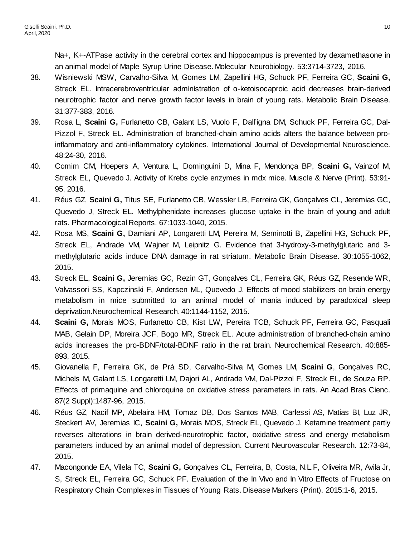Na+, K+-ATPase activity in the cerebral cortex and hippocampus is prevented by dexamethasone in an animal model of Maple Syrup Urine Disease. Molecular Neurobiology. 53:3714-3723, 2016.

- 38. Wisniewski MSW, Carvalho-Silva M, Gomes LM, Zapellini HG, Schuck PF, Ferreira GC, **Scaini G,** Streck EL. Intracerebroventricular administration of α-ketoisocaproic acid decreases brain-derived neurotrophic factor and nerve growth factor levels in brain of young rats. Metabolic Brain Disease. 31:377-383, 2016.
- 39. Rosa L, **Scaini G,** Furlanetto CB, Galant LS, Vuolo F, Dall'igna DM, Schuck PF, Ferreira GC, Dal-Pizzol F, Streck EL. Administration of branched-chain amino acids alters the balance between proinflammatory and anti-inflammatory cytokines. International Journal of Developmental Neuroscience. 48:24-30, 2016.
- 40. Comim CM, Hoepers A, Ventura L, Dominguini D, Mina F, Mendonça BP, **Scaini G,** Vainzof M, Streck EL, Quevedo J. Activity of Krebs cycle enzymes in mdx mice. Muscle & Nerve (Print). 53:91- 95, 2016.
- 41. Réus GZ, **Scaini G,** Titus SE, Furlanetto CB, Wessler LB, Ferreira GK, Gonçalves CL, Jeremias GC, Quevedo J, Streck EL. Methylphenidate increases glucose uptake in the brain of young and adult rats. Pharmacological Reports. 67:1033-1040, 2015.
- 42. Rosa MS, **Scaini G,** Damiani AP, Longaretti LM, Pereira M, Seminotti B, Zapellini HG, Schuck PF, Streck EL, Andrade VM, Wajner M, Leipnitz G. Evidence that 3-hydroxy-3-methylglutaric and 3 methylglutaric acids induce DNA damage in rat striatum. Metabolic Brain Disease. 30:1055-1062, 2015.
- 43. Streck EL, **Scaini G,** Jeremias GC, Rezin GT, Gonçalves CL, Ferreira GK, Réus GZ, Resende WR, Valvassori SS, Kapczinski F, Andersen ML, Quevedo J. Effects of mood stabilizers on brain energy metabolism in mice submitted to an animal model of mania induced by paradoxical sleep deprivation.Neurochemical Research. 40:1144-1152, 2015.
- 44. **Scaini G,** Morais MOS, Furlanetto CB, Kist LW, Pereira TCB, Schuck PF, Ferreira GC, Pasquali MAB, Gelain DP, Moreira JCF, Bogo MR, Streck EL. Acute administration of branched-chain amino acids increases the pro-BDNF/total-BDNF ratio in the rat brain. Neurochemical Research. 40:885- 893, 2015.
- 45. Giovanella F, Ferreira GK, de Prá SD, Carvalho-Silva M, Gomes LM, **Scaini G**, Gonçalves RC, Michels M, Galant LS, Longaretti LM, Dajori AL, Andrade VM, Dal-Pizzol F, Streck EL, de Souza RP. Effects of primaquine and chloroquine on oxidative stress parameters in rats. An Acad Bras Cienc. 87(2 Suppl):1487-96, 2015.
- 46. Réus GZ, Nacif MP, Abelaira HM, Tomaz DB, Dos Santos MAB, Carlessi AS, Matias BI, Luz JR, Steckert AV, Jeremias IC, **Scaini G,** Morais MOS, Streck EL, Quevedo J. Ketamine treatment partly reverses alterations in brain derived-neurotrophic factor, oxidative stress and energy metabolism parameters induced by an animal model of depression. Current Neurovascular Research. 12:73-84, 2015.
- 47. Macongonde EA, Vilela TC, **Scaini G,** Gonçalves CL, Ferreira, B, Costa, N.L.F, Oliveira MR, Avila Jr, S, Streck EL, Ferreira GC, Schuck PF. Evaluation of the In Vivo and In Vitro Effects of Fructose on Respiratory Chain Complexes in Tissues of Young Rats. Disease Markers (Print). 2015:1-6, 2015.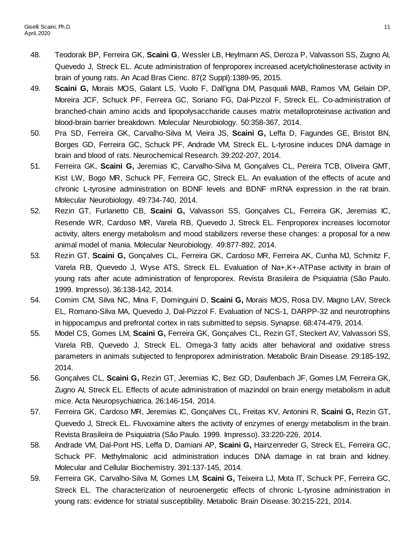- 48. Teodorak BP, Ferreira GK, **Scaini G**, Wessler LB, Heylmann AS, Deroza P, Valvassori SS, Zugno AI, Quevedo J, Streck EL. Acute administration of fenproporex increased acetylcholinesterase activity in brain of young rats. An Acad Bras Cienc. 87(2 Suppl):1389-95, 2015.
- 49. **Scaini G,** Morais MOS, Galant LS, Vuolo F, Dall'igna DM, Pasquali MAB, Ramos VM, Gelain DP, Moreira JCF, Schuck PF, Ferreira GC, Soriano FG, Dal-Pizzol F, Streck EL. Co-administration of branched-chain amino acids and lipopolysaccharide causes matrix metalloproteinase activation and blood-brain barrier breakdown. Molecular Neurobiology. 50:358-367, 2014.
- 50. Pra SD, Ferreira GK, Carvalho-Silva M, Vieira JS, **Scaini G,** Leffa D, Fagundes GE, Bristot BN, Borges GD, Ferreira GC, Schuck PF, Andrade VM, Streck EL. L-tyrosine induces DNA damage in brain and blood of rats. Neurochemical Research. 39:202-207, 2014.
- 51. Ferreira GK, **Scaini G,** Jeremias IC, Carvalho-Silva M, Gonçalves CL, Pereira TCB, Oliveira GMT, Kist LW, Bogo MR, Schuck PF, Ferreira GC, Streck EL. An evaluation of the effects of acute and chronic L-tyrosine administration on BDNF levels and BDNF mRNA expression in the rat brain. Molecular Neurobiology. 49:734-740, 2014.
- 52. Rezin GT, Furlanetto CB, **Scaini G,** Valvassori SS, Gonçalves CL, Ferreira GK, Jeremias IC, Resende WR, Cardoso MR, Varela RB, Quevedo J, Streck EL. Fenproporex increases locomotor activity, alters energy metabolism and mood stabilizers reverse these changes: a proposal for a new animal model of mania. Molecular Neurobiology. 49:877-892, 2014.
- 53. Rezin GT, **Scaini G,** Gonçalves CL, Ferreira GK, Cardoso MR, Ferreira AK, Cunha MJ, Schmitz F, Varela RB, Quevedo J, Wyse ATS, Streck EL. Evaluation of Na+,K+-ATPase activity in brain of young rats after acute administration of fenproporex. Revista Brasileira de Psiquiatria (São Paulo. 1999. Impresso). 36:138-142, 2014.
- 54. Comim CM, Silva NC, Mina F, Dominguini D, **Scaini G,** Morais MOS, Rosa DV, Magno LAV, Streck EL, Romano-Silva MA, Quevedo J, Dal-Pizzol F. Evaluation of NCS-1, DARPP-32 and neurotrophins in hippocampus and prefrontal cortex in rats submitted to sepsis. Synapse. 68:474-479, 2014.
- 55. Model CS, Gomes LM, **Scaini G,** Ferreira GK, Gonçalves CL, Rezin GT, Steckert AV, Valvassori SS, Varela RB, Quevedo J, Streck EL. Omega-3 fatty acids alter behavioral and oxidative stress parameters in animals subjected to fenproporex administration. Metabolic Brain Disease. 29:185-192, 2014.
- 56. Gonçalves CL, **Scaini G,** Rezin GT, Jeremias IC, Bez GD, Daufenbach JF, Gomes LM, Ferreira GK, Zugno AI, Streck EL. Effects of acute administration of mazindol on brain energy metabolism in adult mice. Acta Neuropsychiatrica. 26:146-154, 2014.
- 57. Ferreira GK, Cardoso MR, Jeremias IC, Gonçalves CL, Freitas KV, Antonini R, **Scaini G,** Rezin GT, Quevedo J, Streck EL. Fluvoxamine alters the activity of enzymes of energy metabolism in the brain. Revista Brasileira de Psiquiatria (São Paulo. 1999. Impresso). 33:220-226, 2014.
- 58. Andrade VM, Dal-Pont HS, Leffa D, Damiani AP, **Scaini G,** Hainzenreder G, Streck EL, Ferreira GC, Schuck PF. Methylmalonic acid administration induces DNA damage in rat brain and kidney. Molecular and Cellular Biochemistry. 391:137-145, 2014.
- 59. Ferreira GK, Carvalho-Silva M, Gomes LM, **Scaini G,** Teixeira LJ, Mota IT, Schuck PF, Ferreira GC, Streck EL. The characterization of neuroenergetic effects of chronic L-tyrosine administration in young rats: evidence for striatal susceptibility. Metabolic Brain Disease. 30:215-221, 2014.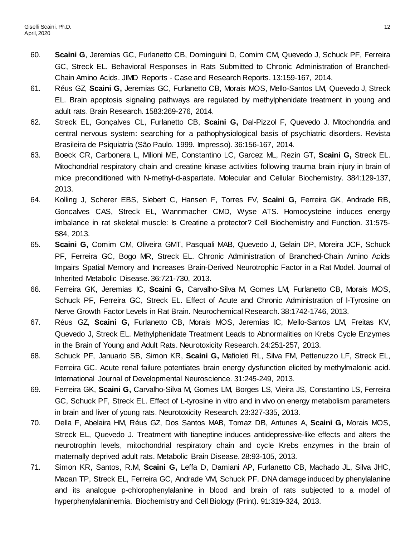- 60. **Scaini G**, Jeremias GC, Furlanetto CB, Dominguini D, Comim CM, Quevedo J, Schuck PF, Ferreira GC, Streck EL. Behavioral Responses in Rats Submitted to Chronic Administration of Branched-Chain Amino Acids. JIMD Reports - Case and Research Reports. 13:159-167, 2014.
- 61. Réus GZ, **Scaini G,** Jeremias GC, Furlanetto CB, Morais MOS, Mello-Santos LM, Quevedo J, Streck EL. Brain apoptosis signaling pathways are regulated by methylphenidate treatment in young and adult rats. Brain Research. 1583:269-276, 2014.
- 62. Streck EL, Gonçalves CL, Furlanetto CB, **Scaini G,** Dal-Pizzol F, Quevedo J. Mitochondria and central nervous system: searching for a pathophysiological basis of psychiatric disorders. Revista Brasileira de Psiquiatria (São Paulo. 1999. Impresso). 36:156-167, 2014.
- 63. Boeck CR, Carbonera L, Milioni ME, Constantino LC, Garcez ML, Rezin GT, **Scaini G,** Streck EL. Mitochondrial respiratory chain and creatine kinase activities following trauma brain injury in brain of mice preconditioned with N-methyl-d-aspartate. Molecular and Cellular Biochemistry. 384:129-137, 2013.
- 64. Kolling J, Scherer EBS, Siebert C, Hansen F, Torres FV, **Scaini G,** Ferreira GK, Andrade RB, Goncalves CAS, Streck EL, Wannmacher CMD, Wyse ATS. Homocysteine induces energy imbalance in rat skeletal muscle: Is Creatine a protector? Cell Biochemistry and Function. 31:575- 584, 2013.
- 65. **Scaini G,** Comim CM, Oliveira GMT, Pasquali MAB, Quevedo J, Gelain DP, Moreira JCF, Schuck PF, Ferreira GC, Bogo MR, Streck EL. Chronic Administration of Branched-Chain Amino Acids Impairs Spatial Memory and Increases Brain-Derived Neurotrophic Factor in a Rat Model. Journal of Inherited Metabolic Disease. 36:721-730, 2013.
- 66. Ferreira GK, Jeremias IC, **Scaini G,** Carvalho-Silva M, Gomes LM, Furlanetto CB, Morais MOS, Schuck PF, Ferreira GC, Streck EL. Effect of Acute and Chronic Administration of l-Tyrosine on Nerve Growth Factor Levels in Rat Brain. Neurochemical Research. 38:1742-1746, 2013.
- 67. Réus GZ, **Scaini G,** Furlanetto CB, Morais MOS, Jeremias IC, Mello-Santos LM, Freitas KV, Quevedo J, Streck EL. Methylphenidate Treatment Leads to Abnormalities on Krebs Cycle Enzymes in the Brain of Young and Adult Rats. Neurotoxicity Research. 24:251-257, 2013.
- 68. Schuck PF, Januario SB, Simon KR, **Scaini G,** Mafioleti RL, Silva FM, Pettenuzzo LF, Streck EL, Ferreira GC. Acute renal failure potentiates brain energy dysfunction elicited by methylmalonic acid. International Journal of Developmental Neuroscience. 31:245-249, 2013.
- 69. Ferreira GK, **Scaini G,** Carvalho-Silva M, Gomes LM, Borges LS, Vieira JS, Constantino LS, Ferreira GC, Schuck PF, Streck EL. Effect of L-tyrosine in vitro and in vivo on energy metabolism parameters in brain and liver of young rats. Neurotoxicity Research. 23:327-335, 2013.
- 70. Della F, Abelaira HM, Réus GZ, Dos Santos MAB, Tomaz DB, Antunes A, **Scaini G,** Morais MOS, Streck EL, Quevedo J. Treatment with tianeptine induces antidepressive-like effects and alters the neurotrophin levels, mitochondrial respiratory chain and cycle Krebs enzymes in the brain of maternally deprived adult rats. Metabolic Brain Disease. 28:93-105, 2013.
- 71. Simon KR, Santos, R.M, **Scaini G,** Leffa D, Damiani AP, Furlanetto CB, Machado JL, Silva JHC, Macan TP, Streck EL, Ferreira GC, Andrade VM, Schuck PF. DNA damage induced by phenylalanine and its analogue p-chlorophenylalanine in blood and brain of rats subjected to a model of hyperphenylalaninemia. Biochemistry and Cell Biology (Print). 91:319-324, 2013.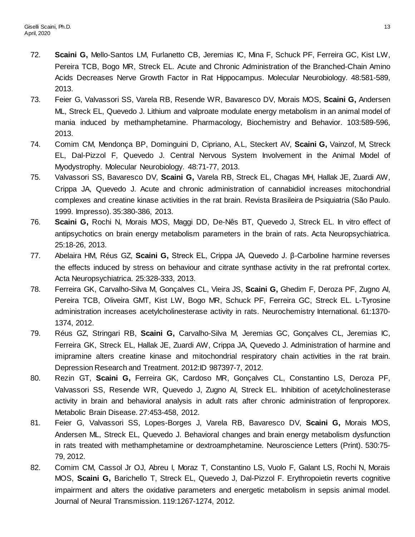- 72. **Scaini G,** Mello-Santos LM, Furlanetto CB, Jeremias IC, Mina F, Schuck PF, Ferreira GC, Kist LW, Pereira TCB, Bogo MR, Streck EL. Acute and Chronic Administration of the Branched-Chain Amino Acids Decreases Nerve Growth Factor in Rat Hippocampus. Molecular Neurobiology. 48:581-589, 2013.
- 73. Feier G, Valvassori SS, Varela RB, Resende WR, Bavaresco DV, Morais MOS, **Scaini G,** Andersen ML, Streck EL, Quevedo J. Lithium and valproate modulate energy metabolism in an animal model of mania induced by methamphetamine. Pharmacology, Biochemistry and Behavior. 103:589-596, 2013.
- 74. Comim CM, Mendonça BP, Dominguini D, Cipriano, A.L, Steckert AV, **Scaini G,** Vainzof, M, Streck EL, Dal-Pizzol F, Quevedo J. Central Nervous System Involvement in the Animal Model of Myodystrophy. Molecular Neurobiology. 48:71-77, 2013.
- 75. Valvassori SS, Bavaresco DV, **Scaini G,** Varela RB, Streck EL, Chagas MH, Hallak JE, Zuardi AW, Crippa JA, Quevedo J. Acute and chronic administration of cannabidiol increases mitochondrial complexes and creatine kinase activities in the rat brain. Revista Brasileira de Psiquiatria (São Paulo. 1999. Impresso). 35:380-386, 2013.
- 76. **Scaini G,** Rochi N, Morais MOS, Maggi DD, De-Nês BT, Quevedo J, Streck EL. In vitro effect of antipsychotics on brain energy metabolism parameters in the brain of rats. Acta Neuropsychiatrica. 25:18-26, 2013.
- 77. Abelaira HM, Réus GZ, **Scaini G,** Streck EL, Crippa JA, Quevedo J. β-Carboline harmine reverses the effects induced by stress on behaviour and citrate synthase activity in the rat prefrontal cortex. Acta Neuropsychiatrica. 25:328-333, 2013.
- 78. Ferreira GK, Carvalho-Silva M, Gonçalves CL, Vieira JS, **Scaini G,** Ghedim F, Deroza PF, Zugno AI, Pereira TCB, Oliveira GMT, Kist LW, Bogo MR, Schuck PF, Ferreira GC, Streck EL. L-Tyrosine administration increases acetylcholinesterase activity in rats. Neurochemistry International. 61:1370- 1374, 2012.
- 79. Réus GZ, Stringari RB, **Scaini G,** Carvalho-Silva M, Jeremias GC, Gonçalves CL, Jeremias IC, Ferreira GK, Streck EL, Hallak JE, Zuardi AW, Crippa JA, Quevedo J. Administration of harmine and imipramine alters creatine kinase and mitochondrial respiratory chain activities in the rat brain. Depression Research and Treatment. 2012:ID 987397-7, 2012.
- 80. Rezin GT, **Scaini G,** Ferreira GK, Cardoso MR, Gonçalves CL, Constantino LS, Deroza PF, Valvassori SS, Resende WR, Quevedo J, Zugno AI, Streck EL. Inhibition of acetylcholinesterase activity in brain and behavioral analysis in adult rats after chronic administration of fenproporex. Metabolic Brain Disease. 27:453-458, 2012.
- 81. Feier G, Valvassori SS, Lopes-Borges J, Varela RB, Bavaresco DV, **Scaini G,** Morais MOS, Andersen ML, Streck EL, Quevedo J. Behavioral changes and brain energy metabolism dysfunction in rats treated with methamphetamine or dextroamphetamine. Neuroscience Letters (Print). 530:75- 79, 2012.
- 82. Comim CM, Cassol Jr OJ, Abreu I, Moraz T, Constantino LS, Vuolo F, Galant LS, Rochi N, Morais MOS, **Scaini G,** Barichello T, Streck EL, Quevedo J, Dal-Pizzol F. Erythropoietin reverts cognitive impairment and alters the oxidative parameters and energetic metabolism in sepsis animal model. Journal of Neural Transmission. 119:1267-1274, 2012.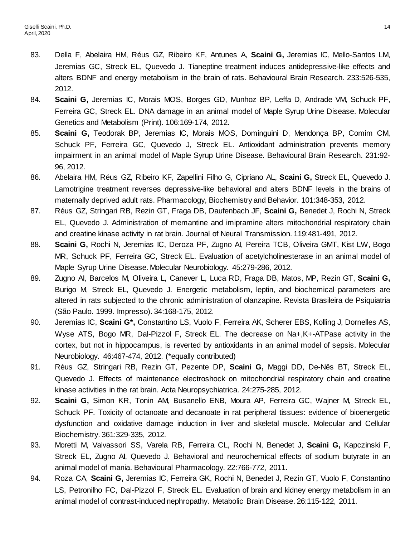- 83. Della F, Abelaira HM, Réus GZ, Ribeiro KF, Antunes A, **Scaini G,** Jeremias IC, Mello-Santos LM, Jeremias GC, Streck EL, Quevedo J. Tianeptine treatment induces antidepressive-like effects and alters BDNF and energy metabolism in the brain of rats. Behavioural Brain Research. 233:526-535, 2012.
- 84. **Scaini G,** Jeremias IC, Morais MOS, Borges GD, Munhoz BP, Leffa D, Andrade VM, Schuck PF, Ferreira GC, Streck EL. DNA damage in an animal model of Maple Syrup Urine Disease. Molecular Genetics and Metabolism (Print). 106:169-174, 2012.
- 85. **Scaini G,** Teodorak BP, Jeremias IC, Morais MOS, Dominguini D, Mendonça BP, Comim CM, Schuck PF, Ferreira GC, Quevedo J, Streck EL. Antioxidant administration prevents memory impairment in an animal model of Maple Syrup Urine Disease. Behavioural Brain Research. 231:92- 96, 2012.
- 86. Abelaira HM, Réus GZ, Ribeiro KF, Zapellini Filho G, Cipriano AL, **Scaini G,** Streck EL, Quevedo J. Lamotrigine treatment reverses depressive-like behavioral and alters BDNF levels in the brains of maternally deprived adult rats. Pharmacology, Biochemistry and Behavior. 101:348-353, 2012.
- 87. Réus GZ, Stringari RB, Rezin GT, Fraga DB, Daufenbach JF, **Scaini G,** Benedet J, Rochi N, Streck EL, Quevedo J. Administration of memantine and imipramine alters mitochondrial respiratory chain and creatine kinase activity in rat brain. Journal of Neural Transmission. 119:481-491, 2012.
- 88. **Scaini G,** Rochi N, Jeremias IC, Deroza PF, Zugno AI, Pereira TCB, Oliveira GMT, Kist LW, Bogo MR, Schuck PF, Ferreira GC, Streck EL. Evaluation of acetylcholinesterase in an animal model of Maple Syrup Urine Disease. Molecular Neurobiology. 45:279-286, 2012.
- 89. Zugno AI, Barcelos M, Oliveira L, Canever L, Luca RD, Fraga DB, Matos, MP, Rezin GT, **Scaini G,** Burigo M, Streck EL, Quevedo J. Energetic metabolism, leptin, and biochemical parameters are altered in rats subjected to the chronic administration of olanzapine. Revista Brasileira de Psiquiatria (São Paulo. 1999. Impresso). 34:168-175, 2012.
- 90. Jeremias IC, **Scaini G\*,** Constantino LS, Vuolo F, Ferreira AK, Scherer EBS, Kolling J, Dornelles AS, Wyse ATS, Bogo MR, Dal-Pizzol F, Streck EL. The decrease on Na+,K+-ATPase activity in the cortex, but not in hippocampus, is reverted by antioxidants in an animal model of sepsis. Molecular Neurobiology. 46:467-474, 2012. (\*equally contributed)
- 91. Réus GZ, Stringari RB, Rezin GT, Pezente DP, **Scaini G,** Maggi DD, De-Nês BT, Streck EL, Quevedo J. Effects of maintenance electroshock on mitochondrial respiratory chain and creatine kinase activities in the rat brain. Acta Neuropsychiatrica. 24:275-285, 2012.
- 92. **Scaini G,** Simon KR, Tonin AM, Busanello ENB, Moura AP, Ferreira GC, Wajner M, Streck EL, Schuck PF. Toxicity of octanoate and decanoate in rat peripheral tissues: evidence of bioenergetic dysfunction and oxidative damage induction in liver and skeletal muscle. Molecular and Cellular Biochemistry. 361:329-335, 2012.
- 93. Moretti M, Valvassori SS, Varela RB, Ferreira CL, Rochi N, Benedet J, **Scaini G,** Kapczinski F, Streck EL, Zugno AI, Quevedo J. Behavioral and neurochemical effects of sodium butyrate in an animal model of mania. Behavioural Pharmacology. 22:766-772, 2011.
- 94. Roza CA, **Scaini G,** Jeremias IC, Ferreira GK, Rochi N, Benedet J, Rezin GT, Vuolo F, Constantino LS, Petronilho FC, Dal-Pizzol F, Streck EL. Evaluation of brain and kidney energy metabolism in an animal model of contrast-induced nephropathy. Metabolic Brain Disease. 26:115-122, 2011.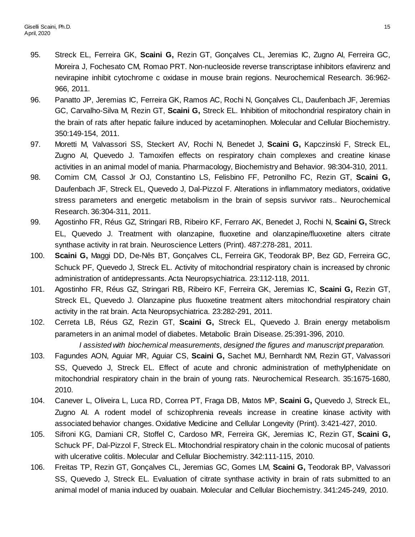- 95. Streck EL, Ferreira GK, **Scaini G,** Rezin GT, Gonçalves CL, Jeremias IC, Zugno AI, Ferreira GC, Moreira J, Fochesato CM, Romao PRT. Non-nucleoside reverse transcriptase inhibitors efavirenz and nevirapine inhibit cytochrome c oxidase in mouse brain regions. Neurochemical Research. 36:962- 966, 2011.
- 96. Panatto JP, Jeremias IC, Ferreira GK, Ramos AC, Rochi N, Gonçalves CL, Daufenbach JF, Jeremias GC, Carvalho-Silva M, Rezin GT, **Scaini G,** Streck EL. Inhibition of mitochondrial respiratory chain in the brain of rats after hepatic failure induced by acetaminophen. Molecular and Cellular Biochemistry. 350:149-154, 2011.
- 97. Moretti M, Valvassori SS, Steckert AV, Rochi N, Benedet J, **Scaini G,** Kapczinski F, Streck EL, Zugno AI, Quevedo J. Tamoxifen effects on respiratory chain complexes and creatine kinase activities in an animal model of mania. Pharmacology, Biochemistry and Behavior. 98:304-310, 2011.
- 98. Comim CM, Cassol Jr OJ, Constantino LS, Felisbino FF, Petronilho FC, Rezin GT, **Scaini G,** Daufenbach JF, Streck EL, Quevedo J, Dal-Pizzol F. Alterations in inflammatory mediators, oxidative stress parameters and energetic metabolism in the brain of sepsis survivor rats.. Neurochemical Research. 36:304-311, 2011.
- 99. Agostinho FR, Réus GZ, Stringari RB, Ribeiro KF, Ferraro AK, Benedet J, Rochi N, **Scaini G,** Streck EL, Quevedo J. Treatment with olanzapine, fluoxetine and olanzapine/fluoxetine alters citrate synthase activity in rat brain. Neuroscience Letters (Print). 487:278-281, 2011.
- 100. **Scaini G,** Maggi DD, De-Nês BT, Gonçalves CL, Ferreira GK, Teodorak BP, Bez GD, Ferreira GC, Schuck PF, Quevedo J, Streck EL. Activity of mitochondrial respiratory chain is increased by chronic administration of antidepressants. Acta Neuropsychiatrica. 23:112-118, 2011.
- 101. Agostinho FR, Réus GZ, Stringari RB, Ribeiro KF, Ferreira GK, Jeremias IC, **Scaini G,** Rezin GT, Streck EL, Quevedo J. Olanzapine plus fluoxetine treatment alters mitochondrial respiratory chain activity in the rat brain. Acta Neuropsychiatrica. 23:282-291, 2011.
- 102. Cerreta LB, Réus GZ, Rezin GT, **Scaini G,** Streck EL, Quevedo J. Brain energy metabolism parameters in an animal model of diabetes. Metabolic Brain Disease. 25:391-396, 2010. *I assisted with biochemical measurements, designed the figures and manuscript preparation.*
- 103. Fagundes AON, Aguiar MR, Aguiar CS, **Scaini G,** Sachet MU, Bernhardt NM, Rezin GT, Valvassori SS, Quevedo J, Streck EL. Effect of acute and chronic administration of methylphenidate on mitochondrial respiratory chain in the brain of young rats. Neurochemical Research. 35:1675-1680, 2010.
- 104. Canever L, Oliveira L, Luca RD, Correa PT, Fraga DB, Matos MP, **Scaini G,** Quevedo J, Streck EL, Zugno AI. A rodent model of schizophrenia reveals increase in creatine kinase activity with associated behavior changes. Oxidative Medicine and Cellular Longevity (Print). 3:421-427, 2010.
- 105. Sifroni KG, Damiani CR, Stoffel C, Cardoso MR, Ferreira GK, Jeremias IC, Rezin GT, **Scaini G,** Schuck PF, Dal-Pizzol F, Streck EL. Mitochondrial respiratory chain in the colonic mucosal of patients with ulcerative colitis. Molecular and Cellular Biochemistry. 342:111-115, 2010.
- 106. Freitas TP, Rezin GT, Gonçalves CL, Jeremias GC, Gomes LM, **Scaini G,** Teodorak BP, Valvassori SS, Quevedo J, Streck EL. Evaluation of citrate synthase activity in brain of rats submitted to an animal model of mania induced by ouabain. Molecular and Cellular Biochemistry. 341:245-249, 2010.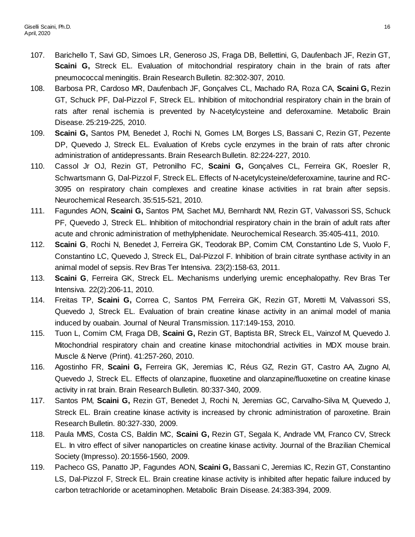- 107. Barichello T, Savi GD, Simoes LR, Generoso JS, Fraga DB, Bellettini, G, Daufenbach JF, Rezin GT, **Scaini G,** Streck EL. Evaluation of mitochondrial respiratory chain in the brain of rats after pneumococcal meningitis. Brain Research Bulletin. 82:302-307, 2010.
- 108. Barbosa PR, Cardoso MR, Daufenbach JF, Gonçalves CL, Machado RA, Roza CA, **Scaini G,** Rezin GT, Schuck PF, Dal-Pizzol F, Streck EL. Inhibition of mitochondrial respiratory chain in the brain of rats after renal ischemia is prevented by N-acetylcysteine and deferoxamine. Metabolic Brain Disease. 25:219-225, 2010.
- 109. **Scaini G,** Santos PM, Benedet J, Rochi N, Gomes LM, Borges LS, Bassani C, Rezin GT, Pezente DP, Quevedo J, Streck EL. Evaluation of Krebs cycle enzymes in the brain of rats after chronic administration of antidepressants. Brain Research Bulletin. 82:224-227, 2010.
- 110. Cassol Jr OJ, Rezin GT, Petronilho FC, **Scaini G,** Gonçalves CL, Ferreira GK, Roesler R, Schwartsmann G, Dal-Pizzol F, Streck EL. Effects of N-acetylcysteine/deferoxamine, taurine and RC-3095 on respiratory chain complexes and creatine kinase activities in rat brain after sepsis. Neurochemical Research. 35:515-521, 2010.
- 111. Fagundes AON, **Scaini G,** Santos PM, Sachet MU, Bernhardt NM, Rezin GT, Valvassori SS, Schuck PF, Quevedo J, Streck EL. Inhibition of mitochondrial respiratory chain in the brain of adult rats after acute and chronic administration of methylphenidate. Neurochemical Research. 35:405-411, 2010.
- 112. **Scaini G**, Rochi N, Benedet J, Ferreira GK, Teodorak BP, Comim CM, Constantino Lde S, Vuolo F, Constantino LC, Quevedo J, Streck EL, Dal-Pizzol F. Inhibition of brain citrate synthase activity in an animal model of sepsis. Rev Bras Ter Intensiva. 23(2):158-63, 2011.
- 113. **Scaini G**, Ferreira GK, Streck EL. Mechanisms underlying uremic encephalopathy. Rev Bras Ter Intensiva. 22(2):206-11, 2010.
- 114. Freitas TP, **Scaini G,** Correa C, Santos PM, Ferreira GK, Rezin GT, Moretti M, Valvassori SS, Quevedo J, Streck EL. Evaluation of brain creatine kinase activity in an animal model of mania induced by ouabain. Journal of Neural Transmission. 117:149-153, 2010.
- 115. Tuon L, Comim CM, Fraga DB, **Scaini G,** Rezin GT, Baptista BR, Streck EL, Vainzof M, Quevedo J. Mitochondrial respiratory chain and creatine kinase mitochondrial activities in MDX mouse brain. Muscle & Nerve (Print). 41:257-260, 2010.
- 116. Agostinho FR, **Scaini G,** Ferreira GK, Jeremias IC, Réus GZ, Rezin GT, Castro AA, Zugno AI, Quevedo J, Streck EL. Effects of olanzapine, fluoxetine and olanzapine/fluoxetine on creatine kinase activity in rat brain. Brain Research Bulletin. 80:337-340, 2009.
- 117. Santos PM, **Scaini G,** Rezin GT, Benedet J, Rochi N, Jeremias GC, Carvalho-Silva M, Quevedo J, Streck EL. Brain creatine kinase activity is increased by chronic administration of paroxetine. Brain Research Bulletin. 80:327-330, 2009.
- 118. Paula MMS, Costa CS, Baldin MC, **Scaini G,** Rezin GT, Segala K, Andrade VM, Franco CV, Streck EL. In vitro effect of silver nanoparticles on creatine kinase activity. Journal of the Brazilian Chemical Society (Impresso). 20:1556-1560, 2009.
- 119. Pacheco GS, Panatto JP, Fagundes AON, **Scaini G,** Bassani C, Jeremias IC, Rezin GT, Constantino LS, Dal-Pizzol F, Streck EL. Brain creatine kinase activity is inhibited after hepatic failure induced by carbon tetrachloride or acetaminophen. Metabolic Brain Disease. 24:383-394, 2009.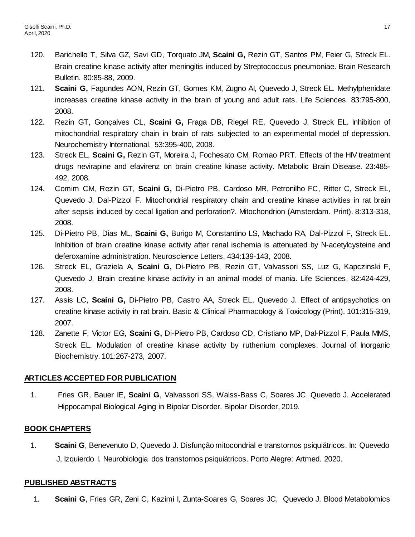- 120. Barichello T, Silva GZ, Savi GD, Torquato JM, **Scaini G,** Rezin GT, Santos PM, Feier G, Streck EL. Brain creatine kinase activity after meningitis induced by Streptococcus pneumoniae. Brain Research Bulletin. 80:85-88, 2009.
- 121. **Scaini G,** Fagundes AON, Rezin GT, Gomes KM, Zugno AI, Quevedo J, Streck EL. Methylphenidate increases creatine kinase activity in the brain of young and adult rats. Life Sciences. 83:795-800, 2008.
- 122. Rezin GT, Gonçalves CL, **Scaini G,** Fraga DB, Riegel RE, Quevedo J, Streck EL. Inhibition of mitochondrial respiratory chain in brain of rats subjected to an experimental model of depression. Neurochemistry International. 53:395-400, 2008.
- 123. Streck EL, **Scaini G,** Rezin GT, Moreira J, Fochesato CM, Romao PRT. Effects of the HIV treatment drugs nevirapine and efavirenz on brain creatine kinase activity. Metabolic Brain Disease. 23:485- 492, 2008.
- 124. Comim CM, Rezin GT, **Scaini G,** Di-Pietro PB, Cardoso MR, Petronilho FC, Ritter C, Streck EL, Quevedo J, Dal-Pizzol F. Mitochondrial respiratory chain and creatine kinase activities in rat brain after sepsis induced by cecal ligation and perforation?. Mitochondrion (Amsterdam. Print). 8:313-318, 2008.
- 125. Di-Pietro PB, Dias ML, **Scaini G,** Burigo M, Constantino LS, Machado RA, Dal-Pizzol F, Streck EL. Inhibition of brain creatine kinase activity after renal ischemia is attenuated by N-acetylcysteine and deferoxamine administration. Neuroscience Letters. 434:139-143, 2008.
- 126. Streck EL, Graziela A, **Scaini G,** Di-Pietro PB, Rezin GT, Valvassori SS, Luz G, Kapczinski F, Quevedo J. Brain creatine kinase activity in an animal model of mania. Life Sciences. 82:424-429, 2008.
- 127. Assis LC, **Scaini G,** Di-Pietro PB, Castro AA, Streck EL, Quevedo J. Effect of antipsychotics on creatine kinase activity in rat brain. Basic & Clinical Pharmacology & Toxicology (Print). 101:315-319, 2007.
- 128. Zanette F, Victor EG, **Scaini G,** Di-Pietro PB, Cardoso CD, Cristiano MP, Dal-Pizzol F, Paula MMS, Streck EL. Modulation of creatine kinase activity by ruthenium complexes. Journal of Inorganic Biochemistry. 101:267-273, 2007.

## **ARTICLES ACCEPTED FOR PUBLICATION**

1. Fries GR, Bauer IE, **Scaini G**, Valvassori SS, Walss-Bass C, Soares JC, Quevedo J. Accelerated Hippocampal Biological Aging in Bipolar Disorder. Bipolar Disorder, 2019.

## **BOOK CHAPTERS**

1. **Scaini G**, Benevenuto D, Quevedo J. Disfunção mitocondrial e transtornos psiquiátricos. In: Quevedo J, Izquierdo I. Neurobiologia dos transtornos psiquiátricos. Porto Alegre: Artmed. 2020.

### **PUBLISHED ABSTRACTS**

1. **Scaini G**, Fries GR, Zeni C, Kazimi I, Zunta-Soares G, Soares JC, Quevedo J. Blood Metabolomics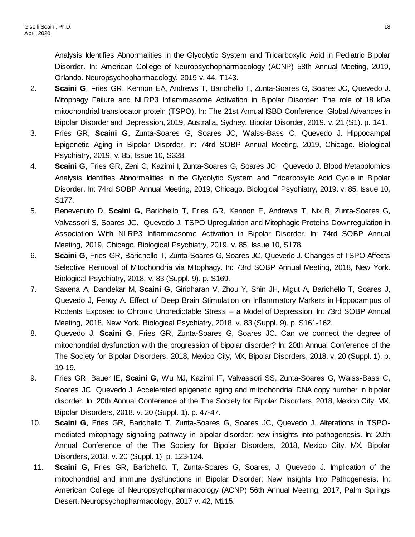Analysis Identifies Abnormalities in the Glycolytic System and Tricarboxylic Acid in Pediatric Bipolar Disorder. In: American College of Neuropsychopharmacology (ACNP) 58th Annual Meeting, 2019, Orlando. Neuropsychopharmacology, 2019 v. 44, T143.

- 2. **Scaini G**, Fries GR, Kennon EA, Andrews T, Barichello T, Zunta-Soares G, Soares JC, Quevedo J. Mitophagy Failure and NLRP3 Inflammasome Activation in Bipolar Disorder: The role of 18 kDa mitochondrial translocator protein (TSPO). In: The 21st Annual ISBD Conference: Global Advances in Bipolar Disorder and Depression, 2019, Australia, Sydney. Bipolar Disorder, 2019. v. 21 (S1). p. 141.
- 3. Fries GR, **Scaini G**, Zunta-Soares G, Soares JC, Walss-Bass C, Quevedo J. Hippocampal Epigenetic Aging in Bipolar Disorder. In: 74rd SOBP Annual Meeting, 2019, Chicago. Biological Psychiatry, 2019. v. 85, Issue 10, S328.
- 4. **Scaini G**, Fries GR, Zeni C, Kazimi I, Zunta-Soares G, Soares JC, Quevedo J. Blood Metabolomics Analysis Identifies Abnormalities in the Glycolytic System and Tricarboxylic Acid Cycle in Bipolar Disorder. In: 74rd SOBP Annual Meeting, 2019, Chicago. Biological Psychiatry, 2019. v. 85, Issue 10, S177.
- 5. Benevenuto D, **Scaini G**, Barichello T, Fries GR, Kennon E, Andrews T, Nix B, Zunta-Soares G, Valvassori S, Soares JC, Quevedo J. TSPO Upregulation and Mitophagic Proteins Downregulation in Association With NLRP3 Inflammasome Activation in Bipolar Disorder. In: 74rd SOBP Annual Meeting, 2019, Chicago. Biological Psychiatry, 2019. v. 85, Issue 10, S178.
- 6. **Scaini G**, Fries GR, Barichello T, Zunta-Soares G, Soares JC, Quevedo J. Changes of TSPO Affects Selective Removal of Mitochondria via Mitophagy. In: 73rd SOBP Annual Meeting, 2018, New York. Biological Psychiatry, 2018. v. 83 (Suppl. 9). p. S169.
- 7. Saxena A, Dandekar M, **Scaini G**, Giridharan V, Zhou Y, Shin JH, Migut A, Barichello T, Soares J, Quevedo J, Fenoy A. Effect of Deep Brain Stimulation on Inflammatory Markers in Hippocampus of Rodents Exposed to Chronic Unpredictable Stress – a Model of Depression. In: 73rd SOBP Annual Meeting, 2018, New York. Biological Psychiatry, 2018. v. 83 (Suppl. 9). p. S161-162.
- 8. Quevedo J, **Scaini G**, Fries GR, Zunta-Soares G, Soares JC. Can we connect the degree of mitochondrial dysfunction with the progression of bipolar disorder? In: 20th Annual Conference of the The Society for Bipolar Disorders, 2018, Mexico City, MX. Bipolar Disorders, 2018. v. 20 (Suppl. 1). p. 19-19.
- 9. Fries GR, Bauer IE, **Scaini G**, Wu MJ, Kazimi IF, Valvassori SS, Zunta-Soares G, Walss-Bass C, Soares JC, Quevedo J. Accelerated epigenetic aging and mitochondrial DNA copy number in bipolar disorder. In: 20th Annual Conference of the The Society for Bipolar Disorders, 2018, Mexico City, MX. Bipolar Disorders, 2018. v. 20 (Suppl. 1). p. 47-47.
- 10. **Scaini G**, Fries GR, Barichello T, Zunta-Soares G, Soares JC, Quevedo J. Alterations in TSPOmediated mitophagy signaling pathway in bipolar disorder: new insights into pathogenesis. In: 20th Annual Conference of the The Society for Bipolar Disorders, 2018, Mexico City, MX. Bipolar Disorders, 2018. v. 20 (Suppl. 1). p. 123-124.
- 11. **Scaini G,** Fries GR, Barichello. T, Zunta-Soares G, Soares, J, Quevedo J. Implication of the mitochondrial and immune dysfunctions in Bipolar Disorder: New Insights Into Pathogenesis. In: American College of Neuropsychopharmacology (ACNP) 56th Annual Meeting, 2017, Palm Springs Desert. Neuropsychopharmacology, 2017 v. 42, M115.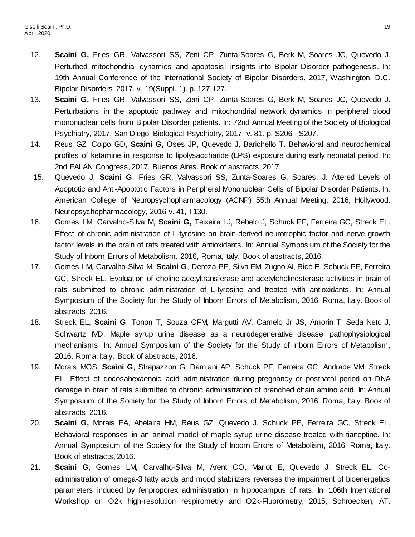- 12. **Scaini G,** Fries GR, Valvassori SS, Zeni CP, Zunta-Soares G, Berk M, Soares JC, Quevedo J. Perturbed mitochondrial dynamics and apoptosis: insights into Bipolar Disorder pathogenesis. In: 19th Annual Conference of the International Society of Bipolar Disorders, 2017, Washington, D.C. Bipolar Disorders, 2017. v. 19(Suppl. 1). p. 127-127.
- 13. **Scaini G,** Fries GR, Valvassori SS, Zeni CP, Zunta-Soares G, Berk M, Soares JC, Quevedo J. Perturbations in the apoptotic pathway and mitochondrial network dynamics in peripheral blood mononuclear cells from Bipolar Disorder patients. In: 72nd Annual Meeting of the Society of Biological Psychiatry, 2017, San Diego. Biological Psychiatry, 2017. v. 81. p. S206 - S207.
- 14. Réus GZ, Colpo GD, **Scaini G,** Oses JP, Quevedo J, Barichello T. Behavioral and neurochemical profiles of ketamine in response to lipolysaccharide (LPS) exposure during early neonatal period. In: 2nd FALAN Congress, 2017, Buenos Aires. Book of abstracts, 2017.
- 15. Quevedo J, **Scaini G**, Fries GR, Valvassori SS, Zunta-Soares G, Soares, J. Altered Levels of Apoptotic and Anti-Apoptotic Factors in Peripheral Mononuclear Cells of Bipolar Disorder Patients. In: American College of Neuropsychopharmacology (ACNP) 55th Annual Meeting, 2016, Hollywood. Neuropsychopharmacology, 2016 v. 41, T130.
- 16. Gomes LM, Carvalho-Silva M, **Scaini G,** Teixeira LJ, Rebelo J, Schuck PF, Ferreira GC, Streck EL. Effect of chronic administration of L-tyrosine on brain-derived neurotrophic factor and nerve growth factor levels in the brain of rats treated with antioxidants. In: Annual Symposium of the Society for the Study of Inborn Errors of Metabolism, 2016, Roma, Italy. Book of abstracts, 2016.
- 17. Gomes LM, Carvalho-Silva M, **Scaini G**, Deroza PF, Silva FM, Zugno AI, Rico E, Schuck PF, Ferreira GC, Streck EL. Evaluation of choline acetyltransferase and acetylcholinesterase activities in brain of rats submitted to chronic administration of L-tyrosine and treated with antioxidants. In: Annual Symposium of the Society for the Study of Inborn Errors of Metabolism, 2016, Roma, Italy. Book of abstracts, 2016.
- 18. Streck EL, **Scaini G**, Tonon T, Souza CFM, Margutti AV, Camelo Jr JS, Amorin T, Seda Neto J, Schwartz IVD. Maple syrup urine disease as a neurodegenerative disease: pathophysiological mechanisms. In: Annual Symposium of the Society for the Study of Inborn Errors of Metabolism, 2016, Roma, Italy. Book of abstracts, 2016.
- 19. Morais MOS, **Scaini G**, Strapazzon G, Damiani AP, Schuck PF, Ferreira GC, Andrade VM, Streck EL. Effect of docosahexaenoic acid administration during pregnancy or postnatal period on DNA damage in brain of rats submitted to chronic administration of branched chain amino acid. In: Annual Symposium of the Society for the Study of Inborn Errors of Metabolism, 2016, Roma, Italy. Book of abstracts, 2016.
- 20. **Scaini G,** Morais FA, Abelaira HM, Réus GZ, Quevedo J, Schuck PF, Ferreira GC, Streck EL. Behavioral responses in an animal model of maple syrup urine disease treated with tianeptine. In: Annual Symposium of the Society for the Study of Inborn Errors of Metabolism, 2016, Roma, Italy. Book of abstracts, 2016.
- 21. **Scaini G**, Gomes LM, Carvalho-Silva M, Arent CO, Mariot E, Quevedo J, Streck EL. Coadministration of omega-3 fatty acids and mood stabilizers reverses the impairment of bioenergetics parameters induced by fenproporex administration in hippocampus of rats. In: 106th International Workshop on O2k high-resolution respirometry and O2k-Fluorometry, 2015, Schroecken, AT.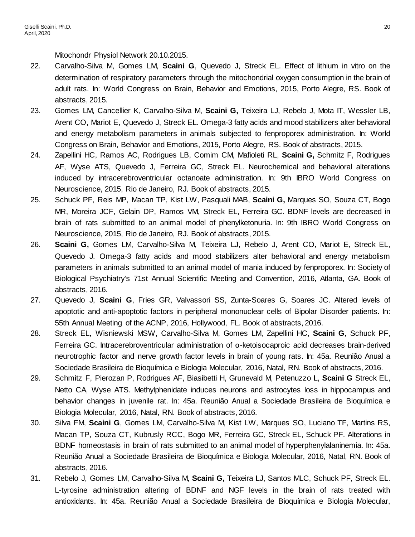Mitochondr Physiol Network 20.10.2015.

- 22. Carvalho-Silva M, Gomes LM, **Scaini G**, Quevedo J, Streck EL. Effect of lithium in vitro on the determination of respiratory parameters through the mitochondrial oxygen consumption in the brain of adult rats. In: World Congress on Brain, Behavior and Emotions, 2015, Porto Alegre, RS. Book of abstracts, 2015.
- 23. Gomes LM, Cancellier K, Carvalho-Silva M, **Scaini G,** Teixeira LJ, Rebelo J, Mota IT, Wessler LB, Arent CO, Mariot E, Quevedo J, Streck EL. Omega-3 fatty acids and mood stabilizers alter behavioral and energy metabolism parameters in animals subjected to fenproporex administration. In: World Congress on Brain, Behavior and Emotions, 2015, Porto Alegre, RS. Book of abstracts, 2015.
- 24. Zapellini HC, Ramos AC, Rodrigues LB, Comim CM, Mafioleti RL, **Scaini G,** Schmitz F, Rodrigues AF, Wyse ATS, Quevedo J, Ferreira GC, Streck EL. Neurochemical and behavioral alterations induced by intracerebroventricular octanoate administration. In: 9th IBRO World Congress on Neuroscience, 2015, Rio de Janeiro, RJ. Book of abstracts, 2015.
- 25. Schuck PF, Reis MP, Macan TP, Kist LW, Pasquali MAB, **Scaini G,** Marques SO, Souza CT, Bogo MR, Moreira JCF, Gelain DP, Ramos VM, Streck EL, Ferreira GC. BDNF levels are decreased in brain of rats submitted to an animal model of phenylketonuria. In: 9th IBRO World Congress on Neuroscience, 2015, Rio de Janeiro, RJ. Book of abstracts, 2015.
- 26. **Scaini G,** Gomes LM, Carvalho-Silva M, Teixeira LJ, Rebelo J, Arent CO, Mariot E, Streck EL, Quevedo J. Omega-3 fatty acids and mood stabilizers alter behavioral and energy metabolism parameters in animals submitted to an animal model of mania induced by fenproporex. In: Society of Biological Psychiatry's 71st Annual Scientific Meeting and Convention, 2016, Atlanta, GA. Book of abstracts, 2016.
- 27. Quevedo J, **Scaini G**, Fries GR, Valvassori SS, Zunta-Soares G, Soares JC. Altered levels of apoptotic and anti-apoptotic factors in peripheral mononuclear cells of Bipolar Disorder patients. In: 55th Annual Meeting of the ACNP, 2016, Hollywood, FL. Book of abstracts, 2016.
- 28. Streck EL, Wisniewski MSW, Carvalho-Silva M, Gomes LM, Zapellini HC, **Scaini G**, Schuck PF, Ferreira GC. Intracerebroventricular administration of α-ketoisocaproic acid decreases brain-derived neurotrophic factor and nerve growth factor levels in brain of young rats. In: 45a. Reunião Anual a Sociedade Brasileira de Bioquímica e Biologia Molecular, 2016, Natal, RN. Book of abstracts, 2016.
- 29. Schmitz F, Pierozan P, Rodrigues AF, Biasibetti H, Grunevald M, Petenuzzo L, **Scaini G** Streck EL, Netto CA, Wyse ATS. Methylphenidate induces neurons and astrocytes loss in hippocampus and behavior changes in juvenile rat. In: 45a. Reunião Anual a Sociedade Brasileira de Bioquímica e Biologia Molecular, 2016, Natal, RN. Book of abstracts, 2016.
- 30. Silva FM, **Scaini G**, Gomes LM, Carvalho-Silva M, Kist LW, Marques SO, Luciano TF, Martins RS, Macan TP, Souza CT, Kubrusly RCC, Bogo MR, Ferreira GC, Streck EL, Schuck PF. Alterations in BDNF homeostasis in brain of rats submitted to an animal model of hyperphenylalaninemia. In: 45a. Reunião Anual a Sociedade Brasileira de Bioquímica e Biologia Molecular, 2016, Natal, RN. Book of abstracts, 2016.
- 31. Rebelo J, Gomes LM, Carvalho-Silva M, **Scaini G,** Teixeira LJ, Santos MLC, Schuck PF, Streck EL. L-tyrosine administration altering of BDNF and NGF levels in the brain of rats treated with antioxidants. In: 45a. Reunião Anual a Sociedade Brasileira de Bioquímica e Biologia Molecular,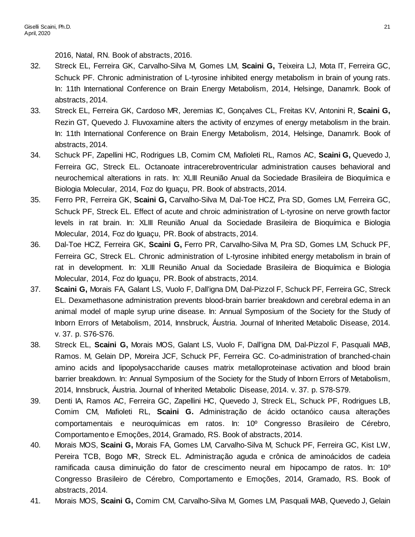2016, Natal, RN. Book of abstracts, 2016.

- 32. Streck EL, Ferreira GK, Carvalho-Silva M, Gomes LM, **Scaini G,** Teixeira LJ, Mota IT, Ferreira GC, Schuck PF. Chronic administration of L-tyrosine inhibited energy metabolism in brain of young rats. In: 11th International Conference on Brain Energy Metabolism, 2014, Helsinge, Danamrk. Book of abstracts, 2014.
- 33. Streck EL, Ferreira GK, Cardoso MR, Jeremias IC, Gonçalves CL, Freitas KV, Antonini R, **Scaini G,** Rezin GT, Quevedo J. Fluvoxamine alters the activity of enzymes of energy metabolism in the brain. In: 11th International Conference on Brain Energy Metabolism, 2014, Helsinge, Danamrk. Book of abstracts, 2014.
- 34. Schuck PF, Zapellini HC, Rodrigues LB, Comim CM, Mafioleti RL, Ramos AC, **Scaini G,** Quevedo J, Ferreira GC, Streck EL. Octanoate intracerebroventricular administration causes behavioral and neurochemical alterations in rats. In: XLIII Reunião Anual da Sociedade Brasileira de Bioquímica e Biologia Molecular, 2014, Foz do Iguaçu, PR. Book of abstracts, 2014.
- 35. Ferro PR, Ferreira GK, **Scaini G,** Carvalho-Silva M, Dal-Toe HCZ, Pra SD, Gomes LM, Ferreira GC, Schuck PF, Streck EL. Effect of acute and chroic administration of L-tyrosine on nerve growth factor levels in rat brain. In: XLIII Reunião Anual da Sociedade Brasileira de Bioquímica e Biologia Molecular, 2014, Foz do Iguaçu, PR. Book of abstracts, 2014.
- 36. Dal-Toe HCZ, Ferreira GK, **Scaini G,** Ferro PR, Carvalho-Silva M, Pra SD, Gomes LM, Schuck PF, Ferreira GC, Streck EL. Chronic administration of L-tyrosine inhibited energy metabolism in brain of rat in development. In: XLIII Reunião Anual da Sociedade Brasileira de Bioquímica e Biologia Molecular, 2014, Foz do Iguaçu, PR. Book of abstracts, 2014.
- 37. **Scaini G,** Morais FA, Galant LS, Vuolo F, Dall'igna DM, Dal-Pizzol F, Schuck PF, Ferreira GC, Streck EL. Dexamethasone administration prevents blood-brain barrier breakdown and cerebral edema in an animal model of maple syrup urine disease. In: Annual Symposium of the Society for the Study of Inborn Errors of Metabolism, 2014, Innsbruck, Áustria. Journal of Inherited Metabolic Disease, 2014. v. 37. p. S76-S76.
- 38. Streck EL, **Scaini G,** Morais MOS, Galant LS, Vuolo F, Dall'igna DM, Dal-Pizzol F, Pasquali MAB, Ramos. M, Gelain DP, Moreira JCF, Schuck PF, Ferreira GC. Co-administration of branched-chain amino acids and lipopolysaccharide causes matrix metalloproteinase activation and blood brain barrier breakdown. In: Annual Symposium of the Society for the Study of Inborn Errors of Metabolism, 2014, Innsbruck, Áustria. Journal of Inherited Metabolic Disease, 2014. v. 37. p. S78-S79.
- 39. Denti IA, Ramos AC, Ferreira GC, Zapellini HC, Quevedo J, Streck EL, Schuck PF, Rodrigues LB, Comim CM, Mafioleti RL, **Scaini G.** Administração de ácido octanóico causa alterações comportamentais e neuroquímicas em ratos. In: 10º Congresso Brasileiro de Cérebro, Comportamento e Emoções, 2014, Gramado, RS. Book of abstracts, 2014.
- 40. Morais MOS, **Scaini G,** Morais FA, Gomes LM, Carvalho-Silva M, Schuck PF, Ferreira GC, Kist LW, Pereira TCB, Bogo MR, Streck EL. Administração aguda e crônica de aminoácidos de cadeia ramificada causa diminuição do fator de crescimento neural em hipocampo de ratos. In: 10º Congresso Brasileiro de Cérebro, Comportamento e Emoções, 2014, Gramado, RS. Book of abstracts, 2014.
- 41. Morais MOS, **Scaini G,** Comim CM, Carvalho-Silva M, Gomes LM, Pasquali MAB, Quevedo J, Gelain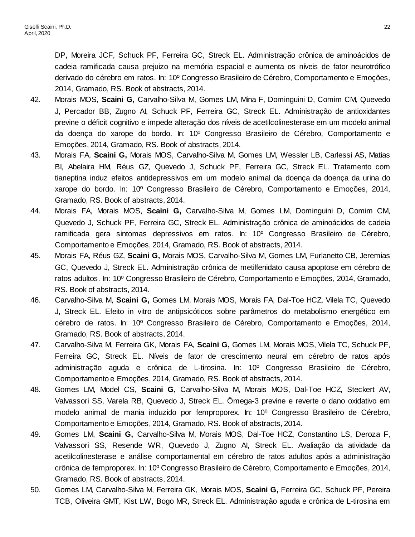DP, Moreira JCF, Schuck PF, Ferreira GC, Streck EL. Administração crônica de aminoácidos de cadeia ramificada causa prejuizo na memória espacial e aumenta os níveis de fator neurotrófico derivado do cérebro em ratos. In: 10º Congresso Brasileiro de Cérebro, Comportamento e Emoções, 2014, Gramado, RS. Book of abstracts, 2014.

- 42. Morais MOS, **Scaini G,** Carvalho-Silva M, Gomes LM, Mina F, Dominguini D, Comim CM, Quevedo J, Percador BB, Zugno AI, Schuck PF, Ferreira GC, Streck EL. Administração de antioxidantes previne o déficit cognitivo e impede alteração dos níveis de acetilcolinesterase em um modelo animal da doença do xarope do bordo. In: 10º Congresso Brasileiro de Cérebro, Comportamento e Emoções, 2014, Gramado, RS. Book of abstracts, 2014.
- 43. Morais FA, **Scaini G,** Morais MOS, Carvalho-Silva M, Gomes LM, Wessler LB, Carlessi AS, Matias BI, Abelaira HM, Réus GZ, Quevedo J, Schuck PF, Ferreira GC, Streck EL. Tratamento com tianeptina induz efeitos antidepressivos em um modelo animal da doença da doença da urina do xarope do bordo. In: 10º Congresso Brasileiro de Cérebro, Comportamento e Emoções, 2014, Gramado, RS. Book of abstracts, 2014.
- 44. Morais FA, Morais MOS, **Scaini G,** Carvalho-Silva M, Gomes LM, Dominguini D, Comim CM, Quevedo J, Schuck PF, Ferreira GC, Streck EL. Administração crônica de aminoácidos de cadeia ramificada gera sintomas depressivos em ratos. In: 10º Congresso Brasileiro de Cérebro, Comportamento e Emoções, 2014, Gramado, RS. Book of abstracts, 2014.
- 45. Morais FA, Réus GZ, **Scaini G,** Morais MOS, Carvalho-Silva M, Gomes LM, Furlanetto CB, Jeremias GC, Quevedo J, Streck EL. Administração crônica de metilfenidato causa apoptose em cérebro de ratos adultos. In: 10º Congresso Brasileiro de Cérebro, Comportamento e Emoções, 2014, Gramado, RS. Book of abstracts, 2014.
- 46. Carvalho-Silva M, **Scaini G,** Gomes LM, Morais MOS, Morais FA, Dal-Toe HCZ, Vilela TC, Quevedo J, Streck EL. Efeito in vitro de antipsicóticos sobre parâmetros do metabolismo energético em cérebro de ratos. In: 10º Congresso Brasileiro de Cérebro, Comportamento e Emoções, 2014, Gramado, RS. Book of abstracts, 2014.
- 47. Carvalho-Silva M, Ferreira GK, Morais FA, **Scaini G,** Gomes LM, Morais MOS, Vilela TC, Schuck PF, Ferreira GC, Streck EL. Níveis de fator de crescimento neural em cérebro de ratos após administração aguda e crônica de L-tirosina. In: 10º Congresso Brasileiro de Cérebro, Comportamento e Emoções, 2014, Gramado, RS. Book of abstracts, 2014.
- 48. Gomes LM, Model CS, **Scaini G,** Carvalho-Silva M, Morais MOS, Dal-Toe HCZ, Steckert AV, Valvassori SS, Varela RB, Quevedo J, Streck EL. Ômega-3 previne e reverte o dano oxidativo em modelo animal de mania induzido por femproporex. In: 10º Congresso Brasileiro de Cérebro, Comportamento e Emoções, 2014, Gramado, RS. Book of abstracts, 2014.
- 49. Gomes LM, **Scaini G,** Carvalho-Silva M, Morais MOS, Dal-Toe HCZ, Constantino LS, Deroza F, Valvassori SS, Resende WR, Quevedo J, Zugno AI, Streck EL. Avaliação da atividade da acetilcolinesterase e análise comportamental em cérebro de ratos adultos após a administração crônica de femproporex. In: 10º Congresso Brasileiro de Cérebro, Comportamento e Emoções, 2014, Gramado, RS. Book of abstracts, 2014.
- 50. Gomes LM, Carvalho-Silva M, Ferreira GK, Morais MOS, **Scaini G,** Ferreira GC, Schuck PF, Pereira TCB, Oliveira GMT, Kist LW, Bogo MR, Streck EL. Administração aguda e crônica de L-tirosina em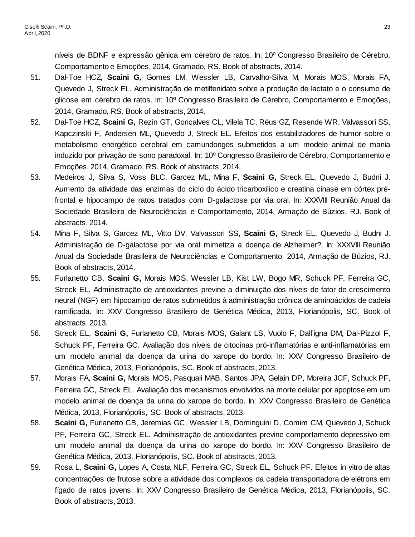níveis de BDNF e expressão gênica em cérebro de ratos. In: 10º Congresso Brasileiro de Cérebro, Comportamento e Emoções, 2014, Gramado, RS. Book of abstracts, 2014.

- 51. Dal-Toe HCZ, **Scaini G,** Gomes LM, Wessler LB, Carvalho-Silva M, Morais MOS, Morais FA, Quevedo J, Streck EL. Administração de metilfenidato sobre a produção de lactato e o consumo de glicose em cérebro de ratos. In: 10º Congresso Brasileiro de Cérebro, Comportamento e Emoções, 2014, Gramado, RS. Book of abstracts, 2014.
- 52. Dal-Toe HCZ, **Scaini G,** Rezin GT, Gonçalves CL, Vilela TC, Réus GZ, Resende WR, Valvassori SS, Kapczinski F, Andersen ML, Quevedo J, Streck EL. Efeitos dos estabilizadores de humor sobre o metabolismo energético cerebral em camundongos submetidos a um modelo animal de mania induzido por privação de sono paradoxal. In: 10º Congresso Brasileiro de Cérebro, Comportamento e Emoções, 2014, Gramado, RS. Book of abstracts, 2014.
- 53. Medeiros J, Silva S, Voss BLC, Garcez ML, Mina F, **Scaini G,** Streck EL, Quevedo J, Budni J. Aumento da atividade das enzimas do ciclo do ácido tricarboxílico e creatina cinase em córtex préfrontal e hipocampo de ratos tratados com D-galactose por via oral. In: XXXVIII Reunião Anual da Sociedade Brasileira de Neurociências e Comportamento, 2014, Armação de Búzios, RJ. Book of abstracts, 2014.
- 54. Mina F, Silva S, Garcez ML, Vitto DV, Valvassori SS, **Scaini G,** Streck EL, Quevedo J, Budni J. Administração de D-galactose por via oral mimetiza a doença de Alzheimer?. In: XXXVIII Reunião Anual da Sociedade Brasileira de Neurociências e Comportamento, 2014, Armação de Búzios, RJ. Book of abstracts, 2014.
- 55. Furlanetto CB, **Scaini G,** Morais MOS, Wessler LB, Kist LW, Bogo MR, Schuck PF, Ferreira GC, Streck EL. Administração de antioxidantes previne a diminuição dos níveis de fator de crescimento neural (NGF) em hipocampo de ratos submetidos à administração crônica de aminoácidos de cadeia ramificada. In: XXV Congresso Brasileiro de Genética Médica, 2013, Florianópolis, SC. Book of abstracts, 2013.
- 56. Streck EL, **Scaini G,** Furlanetto CB, Morais MOS, Galant LS, Vuolo F, Dall'igna DM, Dal-Pizzol F, Schuck PF, Ferreira GC. Avaliação dos níveis de citocinas pró-inflamatórias e anti-inflamatórias em um modelo animal da doença da urina do xarope do bordo. In: XXV Congresso Brasileiro de Genética Médica, 2013, Florianópolis, SC. Book of abstracts, 2013.
- 57. Morais FA, **Scaini G,** Morais MOS, Pasquali MAB, Santos JPA, Gelain DP, Moreira JCF, Schuck PF, Ferreira GC, Streck EL. Avaliação dos mecanismos envolvidos na morte celular por apoptose em um modelo animal de doença da urina do xarope do bordo. In: XXV Congresso Brasileiro de Genética Médica, 2013, Florianópolis, SC. Book of abstracts, 2013.
- 58. **Scaini G,** Furlanetto CB, Jeremias GC, Wessler LB, Dominguini D, Comim CM, Quevedo J, Schuck PF, Ferreira GC, Streck EL. Administração de antioxidantes previne comportamento depressivo em um modelo animal da doença da urina do xarope do bordo. In: XXV Congresso Brasileiro de Genética Médica, 2013, Florianópolis, SC. Book of abstracts, 2013.
- 59. Rosa L, **Scaini G,** Lopes A, Costa NLF, Ferreira GC, Streck EL, Schuck PF. Efeitos in vitro de altas concentrações de frutose sobre a atividade dos complexos da cadeia transportadora de elétrons em fígado de ratos jovens. In: XXV Congresso Brasileiro de Genética Médica, 2013, Florianópolis, SC. Book of abstracts, 2013.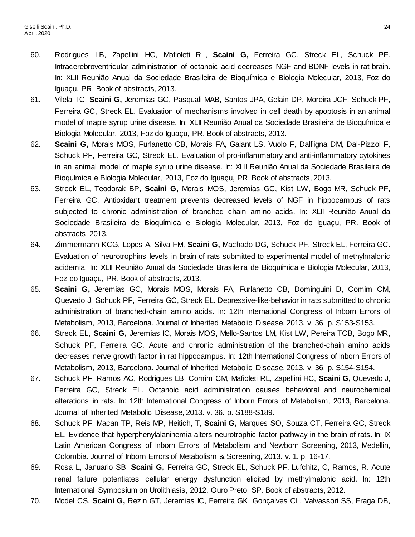- 60. Rodrigues LB, Zapellini HC, Mafioleti RL, **Scaini G,** Ferreira GC, Streck EL, Schuck PF. Intracerebroventricular administration of octanoic acid decreases NGF and BDNF levels in rat brain. In: XLII Reunião Anual da Sociedade Brasileira de Bioquímica e Biologia Molecular, 2013, Foz do Iguaçu, PR. Book of abstracts, 2013.
- 61. Vilela TC, **Scaini G,** Jeremias GC, Pasquali MAB, Santos JPA, Gelain DP, Moreira JCF, Schuck PF, Ferreira GC, Streck EL. Evaluation of mechanisms involved in cell death by apoptosis in an animal model of maple syrup urine disease. In: XLII Reunião Anual da Sociedade Brasileira de Bioquímica e Biologia Molecular, 2013, Foz do Iguaçu, PR. Book of abstracts, 2013.
- 62. **Scaini G,** Morais MOS, Furlanetto CB, Morais FA, Galant LS, Vuolo F, Dall'igna DM, Dal-Pizzol F, Schuck PF, Ferreira GC, Streck EL. Evaluation of pro-inflammatory and anti-inflammatory cytokines in an animal model of maple syrup urine disease. In: XLII Reunião Anual da Sociedade Brasileira de Bioquímica e Biologia Molecular, 2013, Foz do Iguaçu, PR. Book of abstracts, 2013.
- 63. Streck EL, Teodorak BP, **Scaini G,** Morais MOS, Jeremias GC, Kist LW, Bogo MR, Schuck PF, Ferreira GC. Antioxidant treatment prevents decreased levels of NGF in hippocampus of rats subjected to chronic administration of branched chain amino acids. In: XLII Reunião Anual da Sociedade Brasileira de Bioquímica e Biologia Molecular, 2013, Foz do Iguaçu, PR. Book of abstracts, 2013.
- 64. Zimmermann KCG, Lopes A, Silva FM, **Scaini G,** Machado DG, Schuck PF, Streck EL, Ferreira GC. Evaluation of neurotrophins levels in brain of rats submitted to experimental model of methylmalonic acidemia. In: XLII Reunião Anual da Sociedade Brasileira de Bioquímica e Biologia Molecular, 2013, Foz do Iguaçu, PR. Book of abstracts, 2013.
- 65. **Scaini G,** Jeremias GC, Morais MOS, Morais FA, Furlanetto CB, Dominguini D, Comim CM, Quevedo J, Schuck PF, Ferreira GC, Streck EL. Depressive-like-behavior in rats submitted to chronic administration of branched-chain amino acids. In: 12th International Congress of Inborn Errors of Metabolism, 2013, Barcelona. Journal of Inherited Metabolic Disease, 2013. v. 36. p. S153-S153.
- 66. Streck EL, **Scaini G,** Jeremias IC, Morais MOS, Mello-Santos LM, Kist LW, Pereira TCB, Bogo MR, Schuck PF, Ferreira GC. Acute and chronic administration of the branched-chain amino acids decreases nerve growth factor in rat hippocampus. In: 12th International Congress of Inborn Errors of Metabolism, 2013, Barcelona. Journal of Inherited Metabolic Disease, 2013. v. 36. p. S154-S154.
- 67. Schuck PF, Ramos AC, Rodrigues LB, Comim CM, Mafioleti RL, Zapellini HC, **Scaini G,** Quevedo J, Ferreira GC, Streck EL. Octanoic acid administration causes behavioral and neurochemical alterations in rats. In: 12th International Congress of Inborn Errors of Metabolism, 2013, Barcelona. Journal of Inherited Metabolic Disease, 2013. v. 36. p. S188-S189.
- 68. Schuck PF, Macan TP, Reis MP, Heitich, T, **Scaini G,** Marques SO, Souza CT, Ferreira GC, Streck EL. Evidence that hyperphenylalaninemia alters neurotrophic factor pathway in the brain of rats. In: IX Latin American Congress of Inborn Errors of Metabolism and Newborn Screening, 2013, Medellin, Colombia. Journal of Inborn Errors of Metabolism & Screening, 2013. v. 1. p. 16-17.
- 69. Rosa L, Januario SB, **Scaini G,** Ferreira GC, Streck EL, Schuck PF, Lufchitz, C, Ramos, R. Acute renal failure potentiates cellular energy dysfunction elicited by methylmalonic acid. In: 12th International Symposium on Urolithiasis, 2012, Ouro Preto, SP. Book of abstracts, 2012.
- 70. Model CS, **Scaini G,** Rezin GT, Jeremias IC, Ferreira GK, Gonçalves CL, Valvassori SS, Fraga DB,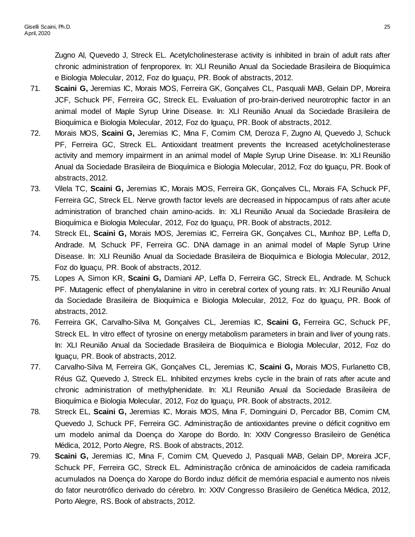Zugno AI, Quevedo J, Streck EL. Acetylcholinesterase activity is inhibited in brain of adult rats after chronic administration of fenproporex. In: XLI Reunião Anual da Sociedade Brasileira de Bioquímica e Biologia Molecular, 2012, Foz do Iguaçu, PR. Book of abstracts, 2012.

- 71. **Scaini G,** Jeremias IC, Morais MOS, Ferreira GK, Gonçalves CL, Pasquali MAB, Gelain DP, Moreira JCF, Schuck PF, Ferreira GC, Streck EL. Evaluation of pro-brain-derived neurotrophic factor in an animal model of Maple Syrup Urine Disease. In: XLI Reunião Anual da Sociedade Brasileira de Bioquímica e Biologia Molecular, 2012, Foz do Iguaçu, PR. Book of abstracts, 2012.
- 72. Morais MOS, **Scaini G,** Jeremias IC, Mina F, Comim CM, Deroza F, Zugno AI, Quevedo J, Schuck PF, Ferreira GC, Streck EL. Antioxidant treatment prevents the Increased acetylcholinesterase activity and memory impairment in an animal model of Maple Syrup Urine Disease. In: XLI Reunião Anual da Sociedade Brasileira de Bioquímica e Biologia Molecular, 2012, Foz do Iguaçu, PR. Book of abstracts, 2012.
- 73. Vilela TC, **Scaini G,** Jeremias IC, Morais MOS, Ferreira GK, Gonçalves CL, Morais FA, Schuck PF, Ferreira GC, Streck EL. Nerve growth factor levels are decreased in hippocampus of rats after acute administration of branched chain amino-acids. In: XLI Reunião Anual da Sociedade Brasileira de Bioquímica e Biologia Molecular, 2012, Foz do Iguaçu, PR. Book of abstracts, 2012.
- 74. Streck EL, **Scaini G,** Morais MOS, Jeremias IC, Ferreira GK, Gonçalves CL, Munhoz BP, Leffa D, Andrade. M, Schuck PF, Ferreira GC. DNA damage in an animal model of Maple Syrup Urine Disease. In: XLI Reunião Anual da Sociedade Brasileira de Bioquímica e Biologia Molecular, 2012, Foz do Iguaçu, PR. Book of abstracts, 2012.
- 75. Lopes A, Simon KR, **Scaini G,** Damiani AP, Leffa D, Ferreira GC, Streck EL, Andrade. M, Schuck PF. Mutagenic effect of phenylalanine in vitro in cerebral cortex of young rats. In: XLI Reunião Anual da Sociedade Brasileira de Bioquímica e Biologia Molecular, 2012, Foz do Iguaçu, PR. Book of abstracts, 2012.
- 76. Ferreira GK, Carvalho-Silva M, Gonçalves CL, Jeremias IC, **Scaini G,** Ferreira GC, Schuck PF, Streck EL. In vitro effect of tyrosine on energy metabolism parameters in brain and liver of young rats. In: XLI Reunião Anual da Sociedade Brasileira de Bioquímica e Biologia Molecular, 2012, Foz do Iguaçu, PR. Book of abstracts, 2012.
- 77. Carvalho-Silva M, Ferreira GK, Gonçalves CL, Jeremias IC, **Scaini G,** Morais MOS, Furlanetto CB, Réus GZ, Quevedo J, Streck EL. Inhibited enzymes krebs cycle in the brain of rats after acute and chronic administration of methylphenidate. In: XLI Reunião Anual da Sociedade Brasileira de Bioquímica e Biologia Molecular, 2012, Foz do Iguaçu, PR. Book of abstracts, 2012.
- 78. Streck EL, **Scaini G,** Jeremias IC, Morais MOS, Mina F, Dominguini D, Percador BB, Comim CM, Quevedo J, Schuck PF, Ferreira GC. Administração de antioxidantes previne o déficit cognitivo em um modelo animal da Doença do Xarope do Bordo. In: XXIV Congresso Brasileiro de Genética Médica, 2012, Porto Alegre, RS. Book of abstracts, 2012.
- 79. **Scaini G,** Jeremias IC, Mina F, Comim CM, Quevedo J, Pasquali MAB, Gelain DP, Moreira JCF, Schuck PF, Ferreira GC, Streck EL. Administração crônica de aminoácidos de cadeia ramificada acumulados na Doença do Xarope do Bordo induz déficit de memória espacial e aumento nos níveis do fator neurotrófico derivado do cérebro. In: XXIV Congresso Brasileiro de Genética Médica, 2012, Porto Alegre, RS. Book of abstracts, 2012.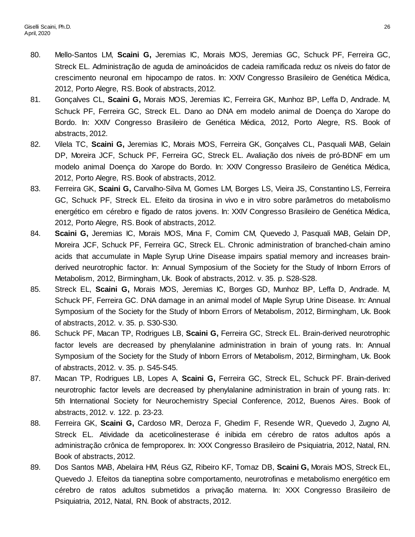- 80. Mello-Santos LM, **Scaini G,** Jeremias IC, Morais MOS, Jeremias GC, Schuck PF, Ferreira GC, Streck EL. Administração de aguda de aminoácidos de cadeia ramificada reduz os níveis do fator de crescimento neuronal em hipocampo de ratos. In: XXIV Congresso Brasileiro de Genética Médica, 2012, Porto Alegre, RS. Book of abstracts, 2012.
- 81. Gonçalves CL, **Scaini G,** Morais MOS, Jeremias IC, Ferreira GK, Munhoz BP, Leffa D, Andrade. M, Schuck PF, Ferreira GC, Streck EL. Dano ao DNA em modelo animal de Doença do Xarope do Bordo. In: XXIV Congresso Brasileiro de Genética Médica, 2012, Porto Alegre, RS. Book of abstracts, 2012.
- 82. Vilela TC, **Scaini G,** Jeremias IC, Morais MOS, Ferreira GK, Gonçalves CL, Pasquali MAB, Gelain DP, Moreira JCF, Schuck PF, Ferreira GC, Streck EL. Avaliação dos níveis de pró-BDNF em um modelo animal Doença do Xarope do Bordo. In: XXIV Congresso Brasileiro de Genética Médica, 2012, Porto Alegre, RS. Book of abstracts, 2012.
- 83. Ferreira GK, **Scaini G,** Carvalho-Silva M, Gomes LM, Borges LS, Vieira JS, Constantino LS, Ferreira GC, Schuck PF, Streck EL. Efeito da tirosina in vivo e in vitro sobre parâmetros do metabolismo energético em cérebro e fígado de ratos jovens. In: XXIV Congresso Brasileiro de Genética Médica, 2012, Porto Alegre, RS. Book of abstracts, 2012.
- 84. **Scaini G,** Jeremias IC, Morais MOS, Mina F, Comim CM, Quevedo J, Pasquali MAB, Gelain DP, Moreira JCF, Schuck PF, Ferreira GC, Streck EL. Chronic administration of branched-chain amino acids that accumulate in Maple Syrup Urine Disease impairs spatial memory and increases brainderived neurotrophic factor. In: Annual Symposium of the Society for the Study of Inborn Errors of Metabolism, 2012, Birmingham, Uk. Book of abstracts, 2012. v. 35. p. S28-S28.
- 85. Streck EL, **Scaini G,** Morais MOS, Jeremias IC, Borges GD, Munhoz BP, Leffa D, Andrade. M, Schuck PF, Ferreira GC. DNA damage in an animal model of Maple Syrup Urine Disease. In: Annual Symposium of the Society for the Study of Inborn Errors of Metabolism, 2012, Birmingham, Uk. Book of abstracts, 2012. v. 35. p. S30-S30.
- 86. Schuck PF, Macan TP, Rodrigues LB, **Scaini G,** Ferreira GC, Streck EL. Brain-derived neurotrophic factor levels are decreased by phenylalanine administration in brain of young rats. In: Annual Symposium of the Society for the Study of Inborn Errors of Metabolism, 2012, Birmingham, Uk. Book of abstracts, 2012. v. 35. p. S45-S45.
- 87. Macan TP, Rodrigues LB, Lopes A, **Scaini G,** Ferreira GC, Streck EL, Schuck PF. Brain-derived neurotrophic factor levels are decreased by phenylalanine administration in brain of young rats. In: 5th International Society for Neurochemistry Special Conference, 2012, Buenos Aires. Book of abstracts, 2012. v. 122. p. 23-23.
- 88. Ferreira GK, **Scaini G,** Cardoso MR, Deroza F, Ghedim F, Resende WR, Quevedo J, Zugno AI, Streck EL. Atividade da aceticolinesterase é inibida em cérebro de ratos adultos após a administração crônica de femproporex. In: XXX Congresso Brasileiro de Psiquiatria, 2012, Natal, RN. Book of abstracts, 2012.
- 89. Dos Santos MAB, Abelaira HM, Réus GZ, Ribeiro KF, Tomaz DB, **Scaini G,** Morais MOS, Streck EL, Quevedo J. Efeitos da tianeptina sobre comportamento, neurotrofinas e metabolismo energético em cérebro de ratos adultos submetidos a privação materna. In: XXX Congresso Brasileiro de Psiquiatria, 2012, Natal, RN. Book of abstracts, 2012.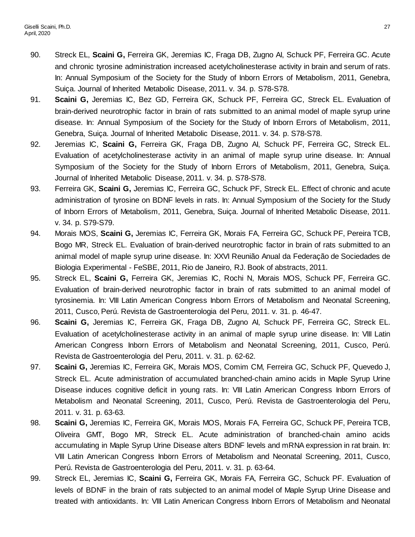- 90. Streck EL, **Scaini G,** Ferreira GK, Jeremias IC, Fraga DB, Zugno AI, Schuck PF, Ferreira GC. Acute and chronic tyrosine administration increased acetylcholinesterase activity in brain and serum of rats. In: Annual Symposium of the Society for the Study of Inborn Errors of Metabolism, 2011, Genebra, Suiça. Journal of Inherited Metabolic Disease, 2011. v. 34. p. S78-S78.
- 91. **Scaini G,** Jeremias IC, Bez GD, Ferreira GK, Schuck PF, Ferreira GC, Streck EL. Evaluation of brain-derived neurotrophic factor in brain of rats submitted to an animal model of maple syrup urine disease. In: Annual Symposium of the Society for the Study of Inborn Errors of Metabolism, 2011, Genebra, Suiça. Journal of Inherited Metabolic Disease, 2011. v. 34. p. S78-S78.
- 92. Jeremias IC, **Scaini G,** Ferreira GK, Fraga DB, Zugno AI, Schuck PF, Ferreira GC, Streck EL. Evaluation of acetylcholinesterase activity in an animal of maple syrup urine disease. In: Annual Symposium of the Society for the Study of Inborn Errors of Metabolism, 2011, Genebra, Suiça. Journal of Inherited Metabolic Disease, 2011. v. 34. p. S78-S78.
- 93. Ferreira GK, **Scaini G,** Jeremias IC, Ferreira GC, Schuck PF, Streck EL. Effect of chronic and acute administration of tyrosine on BDNF levels in rats. In: Annual Symposium of the Society for the Study of Inborn Errors of Metabolism, 2011, Genebra, Suiça. Journal of Inherited Metabolic Disease, 2011. v. 34. p. S79-S79.
- 94. Morais MOS, **Scaini G,** Jeremias IC, Ferreira GK, Morais FA, Ferreira GC, Schuck PF, Pereira TCB, Bogo MR, Streck EL. Evaluation of brain-derived neurotrophic factor in brain of rats submitted to an animal model of maple syrup urine disease. In: XXVI Reunião Anual da Federação de Sociedades de Biologia Experimental - FeSBE, 2011, Rio de Janeiro, RJ. Book of abstracts, 2011.
- 95. Streck EL, **Scaini G,** Ferreira GK, Jeremias IC, Rochi N, Morais MOS, Schuck PF, Ferreira GC. Evaluation of brain-derived neurotrophic factor in brain of rats submitted to an animal model of tyrosinemia. In: VIII Latin American Congress Inborn Errors of Metabolism and Neonatal Screening, 2011, Cusco, Perú. Revista de Gastroenterologia del Peru, 2011. v. 31. p. 46-47.
- 96. **Scaini G,** Jeremias IC, Ferreira GK, Fraga DB, Zugno AI, Schuck PF, Ferreira GC, Streck EL. Evaluation of acetylcholinesterase activity in an animal of maple syrup urine disease. In: VIII Latin American Congress Inborn Errors of Metabolism and Neonatal Screening, 2011, Cusco, Perú. Revista de Gastroenterologia del Peru, 2011. v. 31. p. 62-62.
- 97. **Scaini G,** Jeremias IC, Ferreira GK, Morais MOS, Comim CM, Ferreira GC, Schuck PF, Quevedo J, Streck EL. Acute administration of accumulated branched-chain amino acids in Maple Syrup Urine Disease induces cognitive deficit in young rats. In: VIII Latin American Congress Inborn Errors of Metabolism and Neonatal Screening, 2011, Cusco, Perú. Revista de Gastroenterologia del Peru, 2011. v. 31. p. 63-63.
- 98. **Scaini G,** Jeremias IC, Ferreira GK, Morais MOS, Morais FA, Ferreira GC, Schuck PF, Pereira TCB, Oliveira GMT, Bogo MR, Streck EL. Acute administration of branched-chain amino acids accumulating in Maple Syrup Urine Disease alters BDNF levels and mRNA expression in rat brain. In: VIII Latin American Congress Inborn Errors of Metabolism and Neonatal Screening, 2011, Cusco, Perú. Revista de Gastroenterologia del Peru, 2011. v. 31. p. 63-64.
- 99. Streck EL, Jeremias IC, **Scaini G,** Ferreira GK, Morais FA, Ferreira GC, Schuck PF. Evaluation of levels of BDNF in the brain of rats subjected to an animal model of Maple Syrup Urine Disease and treated with antioxidants. In: VIII Latin American Congress Inborn Errors of Metabolism and Neonatal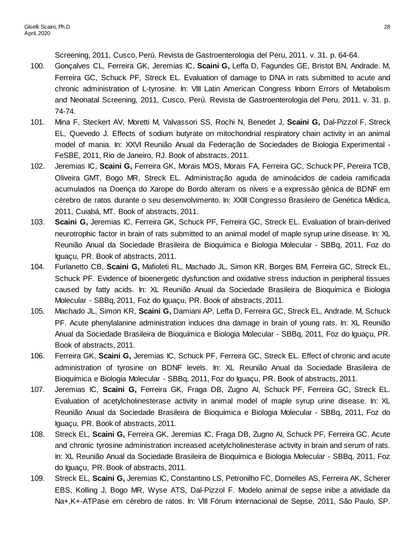Screening, 2011, Cusco, Perú. Revista de Gastroenterologia del Peru, 2011. v. 31. p. 64-64.

- 100. Gonçalves CL, Ferreira GK, Jeremias IC, **Scaini G,** Leffa D, Fagundes GE, Bristot BN, Andrade. M, Ferreira GC, Schuck PF, Streck EL. Evaluation of damage to DNA in rats submitted to acute and chronic administration of L-tyrosine. In: VIII Latin American Congress Inborn Errors of Metabolism and Neonatal Screening, 2011, Cusco, Perú. Revista de Gastroenterologia del Peru, 2011. v. 31. p. 74-74.
- 101. Mina F, Steckert AV, Moretti M, Valvassori SS, Rochi N, Benedet J, **Scaini G,** Dal-Pizzol F, Streck EL, Quevedo J. Effects of sodium butyrate on mitochondrial respiratory chain activity in an animal model of mania. In: XXVI Reunião Anual da Federação de Sociedades de Biologia Experimental - FeSBE, 2011, Rio de Janeiro, RJ. Book of abstracts, 2011.
- 102. Jeremias IC, **Scaini G,** Ferreira GK, Morais MOS, Morais FA, Ferreira GC, Schuck PF, Pereira TCB, Oliveira GMT, Bogo MR, Streck EL. Administração aguda de aminoácidos de cadeia ramificada acumulados na Doença do Xarope do Bordo alteram os níveis e a expressão gênica de BDNF em cérebro de ratos durante o seu desenvolvimento. In: XXIII Congresso Brasileiro de Genética Médica, 2011, Cuiabá, MT. Book of abstracts, 2011.
- 103. **Scaini G,** Jeremias IC, Ferreira GK, Schuck PF, Ferreira GC, Streck EL. Evaluation of brain-derived neurotrophic factor in brain of rats submitted to an animal model of maple syrup urine disease. In: XL Reunião Anual da Sociedade Brasileira de Bioquímica e Biologia Molecular - SBBq, 2011, Foz do Iguaçu, PR. Book of abstracts, 2011.
- 104. Furlanetto CB, **Scaini G,** Mafioleti RL, Machado JL, Simon KR, Borges BM, Ferreira GC, Streck EL, Schuck PF. Evidence of bioenergetic dysfunction and oxidative stress induction in peripheral tissues caused by fatty acids. In: XL Reunião Anual da Sociedade Brasileira de Bioquímica e Biologia Molecular - SBBq, 2011, Foz do Iguaçu, PR. Book of abstracts, 2011.
- 105. Machado JL, Simon KR, **Scaini G,** Damiani AP, Leffa D, Ferreira GC, Streck EL, Andrade. M, Schuck PF. Acute phenylalanine administration induces dna damage in brain of young rats. In: XL Reunião Anual da Sociedade Brasileira de Bioquímica e Biologia Molecular - SBBq, 2011, Foz do Iguaçu, PR. Book of abstracts, 2011.
- 106. Ferreira GK, **Scaini G,** Jeremias IC, Schuck PF, Ferreira GC, Streck EL. Effect of chronic and acute administration of tyrosine on BDNF levels. In: XL Reunião Anual da Sociedade Brasileira de Bioquímica e Biologia Molecular - SBBq, 2011, Foz do Iguaçu, PR. Book of abstracts, 2011.
- 107. Jeremias IC, **Scaini G,** Ferreira GK, Fraga DB, Zugno AI, Schuck PF, Ferreira GC, Streck EL. Evaluation of acetylcholinesterase activity in animal model of maple syrup urine disease. In: XL Reunião Anual da Sociedade Brasileira de Bioquímica e Biologia Molecular - SBBq, 2011, Foz do Iguaçu, PR. Book of abstracts, 2011.
- 108. Streck EL, **Scaini G,** Ferreira GK, Jeremias IC, Fraga DB, Zugno AI, Schuck PF, Ferreira GC. Acute and chronic tyrosine administration increased acetylcholinesterase activity in brain and serum of rats. In: XL Reunião Anual da Sociedade Brasileira de Bioquímica e Biologia Molecular - SBBq, 2011, Foz do Iguaçu, PR. Book of abstracts, 2011.
- 109. Streck EL, **Scaini G,** Jeremias IC, Constantino LS, Petronilho FC, Dornelles AS, Ferreira AK, Scherer EBS, Kolling J, Bogo MR, Wyse ATS, Dal-Pizzol F. Modelo animal de sepse inibe a atividade da Na+,K+-ATPase em cérebro de ratos. In: VIII Fórum Internacional de Sepse, 2011, São Paulo, SP.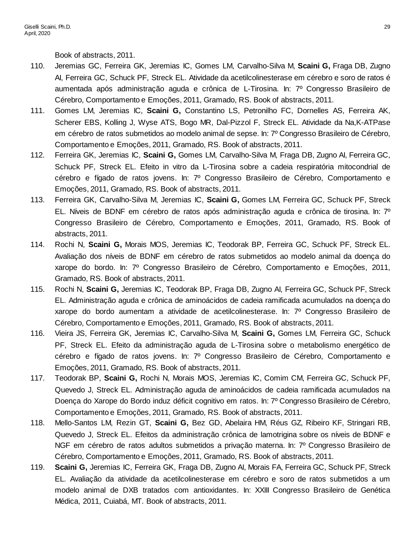Book of abstracts, 2011.

- 110. Jeremias GC, Ferreira GK, Jeremias IC, Gomes LM, Carvalho-Silva M, **Scaini G,** Fraga DB, Zugno AI, Ferreira GC, Schuck PF, Streck EL. Atividade da acetilcolinesterase em cérebro e soro de ratos é aumentada após administração aguda e crônica de L-Tirosina. In: 7º Congresso Brasileiro de Cérebro, Comportamento e Emoções, 2011, Gramado, RS. Book of abstracts, 2011.
- 111. Gomes LM, Jeremias IC, **Scaini G,** Constantino LS, Petronilho FC, Dornelles AS, Ferreira AK, Scherer EBS, Kolling J, Wyse ATS, Bogo MR, Dal-Pizzol F, Streck EL. Atividade da Na,K-ATPase em cérebro de ratos submetidos ao modelo animal de sepse. In: 7º Congresso Brasileiro de Cérebro, Comportamento e Emoções, 2011, Gramado, RS. Book of abstracts, 2011.
- 112. Ferreira GK, Jeremias IC, **Scaini G,** Gomes LM, Carvalho-Silva M, Fraga DB, Zugno AI, Ferreira GC, Schuck PF, Streck EL. Efeito in vitro da L-Tirosina sobre a cadeia respiratória mitocondrial de cérebro e fígado de ratos jovens. In: 7º Congresso Brasileiro de Cérebro, Comportamento e Emoções, 2011, Gramado, RS. Book of abstracts, 2011.
- 113. Ferreira GK, Carvalho-Silva M, Jeremias IC, **Scaini G,** Gomes LM, Ferreira GC, Schuck PF, Streck EL. Níveis de BDNF em cérebro de ratos após administração aguda e crônica de tirosina. In: 7º Congresso Brasileiro de Cérebro, Comportamento e Emoções, 2011, Gramado, RS. Book of abstracts, 2011.
- 114. Rochi N, **Scaini G,** Morais MOS, Jeremias IC, Teodorak BP, Ferreira GC, Schuck PF, Streck EL. Avaliação dos níveis de BDNF em cérebro de ratos submetidos ao modelo animal da doença do xarope do bordo. In: 7º Congresso Brasileiro de Cérebro, Comportamento e Emoções, 2011, Gramado, RS. Book of abstracts, 2011.
- 115. Rochi N, **Scaini G,** Jeremias IC, Teodorak BP, Fraga DB, Zugno AI, Ferreira GC, Schuck PF, Streck EL. Administração aguda e crônica de aminoácidos de cadeia ramificada acumulados na doença do xarope do bordo aumentam a atividade de acetilcolinesterase. In: 7º Congresso Brasileiro de Cérebro, Comportamento e Emoções, 2011, Gramado, RS. Book of abstracts, 2011.
- 116. Vieira JS, Ferreira GK, Jeremias IC, Carvalho-Silva M, **Scaini G,** Gomes LM, Ferreira GC, Schuck PF, Streck EL. Efeito da administração aguda de L-Tirosina sobre o metabolismo energético de cérebro e fígado de ratos jovens. In: 7º Congresso Brasileiro de Cérebro, Comportamento e Emoções, 2011, Gramado, RS. Book of abstracts, 2011.
- 117. Teodorak BP, **Scaini G,** Rochi N, Morais MOS, Jeremias IC, Comim CM, Ferreira GC, Schuck PF, Quevedo J, Streck EL. Administração aguda de aminoácidos de cadeia ramificada acumulados na Doença do Xarope do Bordo induz déficit cognitivo em ratos. In: 7º Congresso Brasileiro de Cérebro, Comportamento e Emoções, 2011, Gramado, RS. Book of abstracts, 2011.
- 118. Mello-Santos LM, Rezin GT, **Scaini G,** Bez GD, Abelaira HM, Réus GZ, Ribeiro KF, Stringari RB, Quevedo J, Streck EL. Efeitos da administração crônica de lamotrigina sobre os níveis de BDNF e NGF em cérebro de ratos adultos submetidos a privação materna. In: 7º Congresso Brasileiro de Cérebro, Comportamento e Emoções, 2011, Gramado, RS. Book of abstracts, 2011.
- 119. **Scaini G,** Jeremias IC, Ferreira GK, Fraga DB, Zugno AI, Morais FA, Ferreira GC, Schuck PF, Streck EL. Avaliação da atividade da acetilcolinesterase em cérebro e soro de ratos submetidos a um modelo animal de DXB tratados com antioxidantes. In: XXIII Congresso Brasileiro de Genética Médica, 2011, Cuiabá, MT. Book of abstracts, 2011.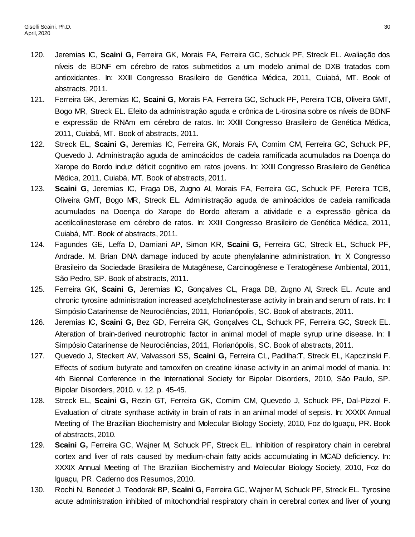- 120. Jeremias IC, **Scaini G,** Ferreira GK, Morais FA, Ferreira GC, Schuck PF, Streck EL. Avaliação dos níveis de BDNF em cérebro de ratos submetidos a um modelo animal de DXB tratados com antioxidantes. In: XXIII Congresso Brasileiro de Genética Médica, 2011, Cuiabá, MT. Book of abstracts, 2011.
- 121. Ferreira GK, Jeremias IC, **Scaini G,** Morais FA, Ferreira GC, Schuck PF, Pereira TCB, Oliveira GMT, Bogo MR, Streck EL. Efeito da administração aguda e crônica de L-tirosina sobre os níveis de BDNF e expressão de RNAm em cérebro de ratos. In: XXIII Congresso Brasileiro de Genética Médica, 2011, Cuiabá, MT. Book of abstracts, 2011.
- 122. Streck EL, **Scaini G,** Jeremias IC, Ferreira GK, Morais FA, Comim CM, Ferreira GC, Schuck PF, Quevedo J. Administração aguda de aminoácidos de cadeia ramificada acumulados na Doença do Xarope do Bordo induz déficit cognitivo em ratos jovens. In: XXIII Congresso Brasileiro de Genética Médica, 2011, Cuiabá, MT. Book of abstracts, 2011.
- 123. **Scaini G,** Jeremias IC, Fraga DB, Zugno AI, Morais FA, Ferreira GC, Schuck PF, Pereira TCB, Oliveira GMT, Bogo MR, Streck EL. Administração aguda de aminoácidos de cadeia ramificada acumulados na Doença do Xarope do Bordo alteram a atividade e a expressão gênica da acetilcolinesterase em cérebro de ratos. In: XXIII Congresso Brasileiro de Genética Médica, 2011, Cuiabá, MT. Book of abstracts, 2011.
- 124. Fagundes GE, Leffa D, Damiani AP, Simon KR, **Scaini G,** Ferreira GC, Streck EL, Schuck PF, Andrade. M. Brian DNA damage induced by acute phenylalanine administration. In: X Congresso Brasileiro da Sociedade Brasileira de Mutagênese, Carcinogênese e Teratogênese Ambiental, 2011, São Pedro, SP. Book of abstracts, 2011.
- 125. Ferreira GK, **Scaini G,** Jeremias IC, Gonçalves CL, Fraga DB, Zugno AI, Streck EL. Acute and chronic tyrosine administration increased acetylcholinesterase activity in brain and serum of rats. In: II Simpósio Catarinense de Neurociências, 2011, Florianópolis, SC. Book of abstracts, 2011.
- 126. Jeremias IC, **Scaini G,** Bez GD, Ferreira GK, Gonçalves CL, Schuck PF, Ferreira GC, Streck EL. Alteration of brain-derived neurotrophic factor in animal model of maple syrup urine disease. In: II Simpósio Catarinense de Neurociências, 2011, Florianópolis, SC. Book of abstracts, 2011.
- 127. Quevedo J, Steckert AV, Valvassori SS, **Scaini G,** Ferreira CL, Padilha:T, Streck EL, Kapczinski F. Effects of sodium butyrate and tamoxifen on creatine kinase activity in an animal model of mania. In: 4th Biennal Conference in the International Society for Bipolar Disorders, 2010, São Paulo, SP. Bipolar Disorders, 2010. v. 12. p. 45-45.
- 128. Streck EL, **Scaini G,** Rezin GT, Ferreira GK, Comim CM, Quevedo J, Schuck PF, Dal-Pizzol F. Evaluation of citrate synthase activity in brain of rats in an animal model of sepsis. In: XXXIX Annual Meeting of The Brazilian Biochemistry and Molecular Biology Society, 2010, Foz do Iguaçu, PR. Book of abstracts, 2010.
- 129. **Scaini G,** Ferreira GC, Wajner M, Schuck PF, Streck EL. Inhibition of respiratory chain in cerebral cortex and liver of rats caused by medium-chain fatty acids accumulating in MCAD deficiency. In: XXXIX Annual Meeting of The Brazilian Biochemistry and Molecular Biology Society, 2010, Foz do Iguaçu, PR. Caderno dos Resumos, 2010.
- 130. Rochi N, Benedet J, Teodorak BP, **Scaini G,** Ferreira GC, Wajner M, Schuck PF, Streck EL. Tyrosine acute administration inhibited of mitochondrial respiratory chain in cerebral cortex and liver of young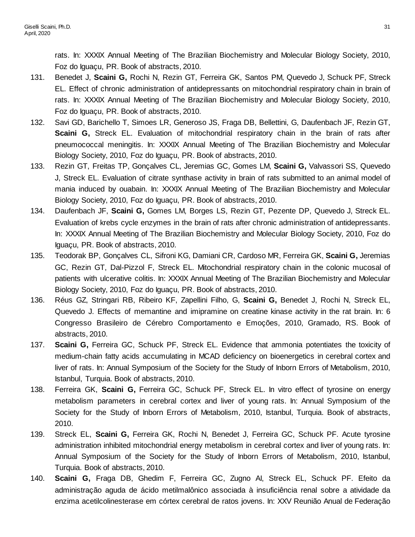rats. In: XXXIX Annual Meeting of The Brazilian Biochemistry and Molecular Biology Society, 2010, Foz do Iguaçu, PR. Book of abstracts, 2010.

- 131. Benedet J, **Scaini G,** Rochi N, Rezin GT, Ferreira GK, Santos PM, Quevedo J, Schuck PF, Streck EL. Effect of chronic administration of antidepressants on mitochondrial respiratory chain in brain of rats. In: XXXIX Annual Meeting of The Brazilian Biochemistry and Molecular Biology Society, 2010, Foz do Iguaçu, PR. Book of abstracts, 2010.
- 132. Savi GD, Barichello T, Simoes LR, Generoso JS, Fraga DB, Bellettini, G, Daufenbach JF, Rezin GT, **Scaini G,** Streck EL. Evaluation of mitochondrial respiratory chain in the brain of rats after pneumococcal meningitis. In: XXXIX Annual Meeting of The Brazilian Biochemistry and Molecular Biology Society, 2010, Foz do Iguaçu, PR. Book of abstracts, 2010.
- 133. Rezin GT, Freitas TP, Gonçalves CL, Jeremias GC, Gomes LM, **Scaini G,** Valvassori SS, Quevedo J, Streck EL. Evaluation of citrate synthase activity in brain of rats submitted to an animal model of mania induced by ouabain. In: XXXIX Annual Meeting of The Brazilian Biochemistry and Molecular Biology Society, 2010, Foz do Iguaçu, PR. Book of abstracts, 2010.
- 134. Daufenbach JF, **Scaini G,** Gomes LM, Borges LS, Rezin GT, Pezente DP, Quevedo J, Streck EL. Evaluation of krebs cycle enzymes in the brain of rats after chronic administration of antidepressants. In: XXXIX Annual Meeting of The Brazilian Biochemistry and Molecular Biology Society, 2010, Foz do Iguaçu, PR. Book of abstracts, 2010.
- 135. Teodorak BP, Gonçalves CL, Sifroni KG, Damiani CR, Cardoso MR, Ferreira GK, **Scaini G,** Jeremias GC, Rezin GT, Dal-Pizzol F, Streck EL. Mitochondrial respiratory chain in the colonic mucosal of patients with ulcerative colitis. In: XXXIX Annual Meeting of The Brazilian Biochemistry and Molecular Biology Society, 2010, Foz do Iguaçu, PR. Book of abstracts, 2010.
- 136. Réus GZ, Stringari RB, Ribeiro KF, Zapellini Filho, G, **Scaini G,** Benedet J, Rochi N, Streck EL, Quevedo J. Effects of memantine and imipramine on creatine kinase activity in the rat brain. In: 6 Congresso Brasileiro de Cérebro Comportamento e Emoções, 2010, Gramado, RS. Book of abstracts, 2010.
- 137. **Scaini G,** Ferreira GC, Schuck PF, Streck EL. Evidence that ammonia potentiates the toxicity of medium-chain fatty acids accumulating in MCAD deficiency on bioenergetics in cerebral cortex and liver of rats. In: Annual Symposium of the Society for the Study of Inborn Errors of Metabolism, 2010, Istanbul, Turquia. Book of abstracts, 2010.
- 138. Ferreira GK, **Scaini G,** Ferreira GC, Schuck PF, Streck EL. In vitro effect of tyrosine on energy metabolism parameters in cerebral cortex and liver of young rats. In: Annual Symposium of the Society for the Study of Inborn Errors of Metabolism, 2010, Istanbul, Turquia. Book of abstracts, 2010.
- 139. Streck EL, **Scaini G,** Ferreira GK, Rochi N, Benedet J, Ferreira GC, Schuck PF. Acute tyrosine administration inhibited mitochondrial energy metabolism in cerebral cortex and liver of young rats. In: Annual Symposium of the Society for the Study of Inborn Errors of Metabolism, 2010, Istanbul, Turquia. Book of abstracts, 2010.
- 140. **Scaini G,** Fraga DB, Ghedim F, Ferreira GC, Zugno AI, Streck EL, Schuck PF. Efeito da administração aguda de ácido metilmalônico associada à insuficiência renal sobre a atividade da enzima acetilcolinesterase em córtex cerebral de ratos jovens. In: XXV Reunião Anual de Federação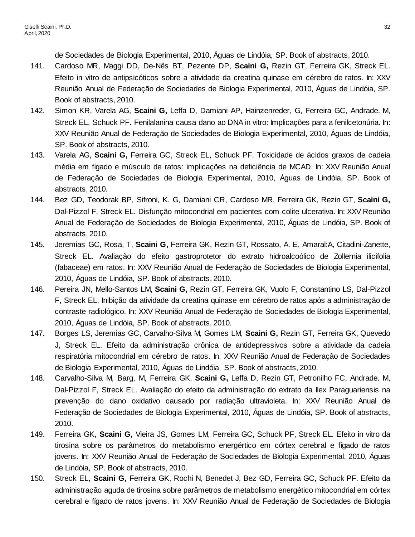de Sociedades de Biologia Experimental, 2010, Águas de Lindóia, SP. Book of abstracts, 2010.

- 141. Cardoso MR, Maggi DD, De-Nês BT, Pezente DP, **Scaini G,** Rezin GT, Ferreira GK, Streck EL. Efeito in vitro de antipsicóticos sobre a atividade da creatina quinase em cérebro de ratos. In: XXV Reunião Anual de Federação de Sociedades de Biologia Experimental, 2010, Águas de Lindóia, SP. Book of abstracts, 2010.
- 142. Simon KR, Varela AG, **Scaini G,** Leffa D, Damiani AP, Hainzenreder, G, Ferreira GC, Andrade. M, Streck EL, Schuck PF. Fenilalanina causa dano ao DNA in vitro: Implicações para a fenilcetonúria. In: XXV Reunião Anual de Federação de Sociedades de Biologia Experimental, 2010, Águas de Lindóia, SP. Book of abstracts, 2010.
- 143. Varela AG, **Scaini G,** Ferreira GC, Streck EL, Schuck PF. Toxicidade de ácidos graxos de cadeia média em fígado e músculo de ratos: implicações na deficiência de MCAD. In: XXV Reunião Anual de Federação de Sociedades de Biologia Experimental, 2010, Águas de Lindóia, SP. Book of abstracts, 2010.
- 144. Bez GD, Teodorak BP, Sifroni, K. G, Damiani CR, Cardoso MR, Ferreira GK, Rezin GT, **Scaini G,** Dal-Pizzol F, Streck EL. Disfunção mitocondrial em pacientes com colite ulcerativa. In: XXV Reunião Anual de Federação de Sociedades de Biologia Experimental, 2010, Águas de Lindóia, SP. Book of abstracts, 2010.
- 145. Jeremias GC, Rosa, T, **Scaini G,** Ferreira GK, Rezin GT, Rossato, A. E, Amaral:A, Citadini-Zanette, Streck EL. Avaliação do efeito gastroprotetor do extrato hidroalcoólico de Zollernia ilicifolia (fabaceae) em ratos. In: XXV Reunião Anual de Federação de Sociedades de Biologia Experimental, 2010, Águas de Lindóia, SP. Book of abstracts, 2010.
- 146. Pereira JN, Mello-Santos LM, **Scaini G,** Rezin GT, Ferreira GK, Vuolo F, Constantino LS, Dal-Pizzol F, Streck EL. Inibição da atividade da creatina quinase em cérebro de ratos após a administração de contraste radiológico. In: XXV Reunião Anual de Federação de Sociedades de Biologia Experimental, 2010, Águas de Lindóia, SP. Book of abstracts, 2010.
- 147. Borges LS, Jeremias GC, Carvalho-Silva M, Gomes LM, **Scaini G,** Rezin GT, Ferreira GK, Quevedo J, Streck EL. Efeito da administração crônica de antidepressivos sobre a atividade da cadeia respiratória mitocondrial em cérebro de ratos. In: XXV Reunião Anual de Federação de Sociedades de Biologia Experimental, 2010, Águas de Lindóia, SP. Book of abstracts, 2010.
- 148. Carvalho-Silva M, Barg, M, Ferreira GK, **Scaini G,** Leffa D, Rezin GT, Petronilho FC, Andrade. M, Dal-Pizzol F, Streck EL. Avaliação do efeito da administração do extrato da Ilex Paraguariensis na prevenção do dano oxidativo causado por radiação ultravioleta. In: XXV Reunião Anual de Federação de Sociedades de Biologia Experimental, 2010, Águas de Lindóia, SP. Book of abstracts, 2010.
- 149. Ferreira GK, **Scaini G,** Vieira JS, Gomes LM, Ferreira GC, Schuck PF, Streck EL. Efeito in vitro da tirosina sobre os parâmetros do metabolismo energértico em córtex cerebral e fígado de ratos jovens. In: XXV Reunião Anual de Federação de Sociedades de Biologia Experimental, 2010, Águas de Lindóia, SP. Book of abstracts, 2010.
- 150. Streck EL, **Scaini G,** Ferreira GK, Rochi N, Benedet J, Bez GD, Ferreira GC, Schuck PF. Efeito da administração aguda de tirosina sobre parâmetros de metabolismo energético mitocondrial em córtex cerebral e fígado de ratos jovens. In: XXV Reunião Anual de Federação de Sociedades de Biologia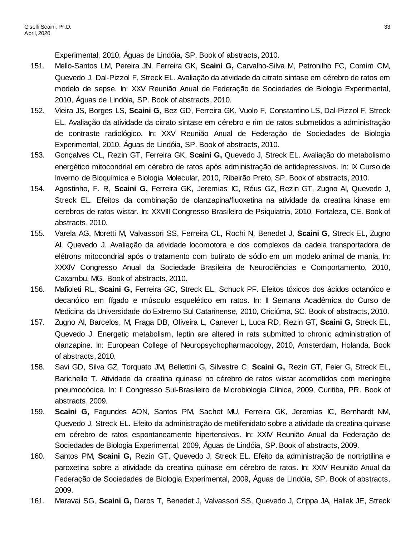Experimental, 2010, Águas de Lindóia, SP. Book of abstracts, 2010.

- 151. Mello-Santos LM, Pereira JN, Ferreira GK, **Scaini G,** Carvalho-Silva M, Petronilho FC, Comim CM, Quevedo J, Dal-Pizzol F, Streck EL. Avaliação da atividade da citrato sintase em cérebro de ratos em modelo de sepse. In: XXV Reunião Anual de Federação de Sociedades de Biologia Experimental, 2010, Águas de Lindóia, SP. Book of abstracts, 2010.
- 152. Vieira JS, Borges LS, **Scaini G,** Bez GD, Ferreira GK, Vuolo F, Constantino LS, Dal-Pizzol F, Streck EL. Avaliação da atividade da citrato sintase em cérebro e rim de ratos submetidos a administração de contraste radiológico. In: XXV Reunião Anual de Federação de Sociedades de Biologia Experimental, 2010, Águas de Lindóia, SP. Book of abstracts, 2010.
- 153. Gonçalves CL, Rezin GT, Ferreira GK, **Scaini G,** Quevedo J, Streck EL. Avaliação do metabolismo energético mitocondrial em cérebro de ratos após administração de antidepressivos. In: IX Curso de Inverno de Bioquímica e Biologia Molecular, 2010, Ribeirão Preto, SP. Book of abstracts, 2010.
- 154. Agostinho, F. R, **Scaini G,** Ferreira GK, Jeremias IC, Réus GZ, Rezin GT, Zugno AI, Quevedo J, Streck EL. Efeitos da combinação de olanzapina/fluoxetina na atividade da creatina kinase em cerebros de ratos wistar. In: XXVIII Congresso Brasileiro de Psiquiatria, 2010, Fortaleza, CE. Book of abstracts, 2010.
- 155. Varela AG, Moretti M, Valvassori SS, Ferreira CL, Rochi N, Benedet J, **Scaini G,** Streck EL, Zugno AI, Quevedo J. Avaliação da atividade locomotora e dos complexos da cadeia transportadora de elétrons mitocondrial após o tratamento com butirato de sódio em um modelo animal de mania. In: XXXIV Congresso Anual da Sociedade Brasileira de Neurociências e Comportamento, 2010, Caxambu, MG. Book of abstracts, 2010.
- 156. Mafioleti RL, **Scaini G,** Ferreira GC, Streck EL, Schuck PF. Efeitos tóxicos dos ácidos octanóico e decanóico em fígado e músculo esquelético em ratos. In: II Semana Acadêmica do Curso de Medicina da Universidade do Extremo Sul Catarinense, 2010, Criciúma, SC. Book of abstracts, 2010.
- 157. Zugno AI, Barcelos, M, Fraga DB, Oliveira L, Canever L, Luca RD, Rezin GT, **Scaini G,** Streck EL, Quevedo J. Energetic metabolism, leptin are altered in rats submitted to chronic administration of olanzapine. In: European College of Neuropsychopharmacology, 2010, Amsterdam, Holanda. Book of abstracts, 2010.
- 158. Savi GD, Silva GZ, Torquato JM, Bellettini G, Silvestre C, **Scaini G,** Rezin GT, Feier G, Streck EL, Barichello T. Atividade da creatina quinase no cérebro de ratos wistar acometidos com meningite pneumocócica. In: II Congresso Sul-Brasileiro de Microbiologia Clínica, 2009, Curitiba, PR. Book of abstracts, 2009.
- 159. **Scaini G,** Fagundes AON, Santos PM, Sachet MU, Ferreira GK, Jeremias IC, Bernhardt NM, Quevedo J, Streck EL. Efeito da administração de metilfenidato sobre a atividade da creatina quinase em cérebro de ratos espontaneamente hipertensivos. In: XXIV Reunião Anual da Federação de Sociedades de Biologia Experimental, 2009, Águas de Lindóia, SP. Book of abstracts, 2009.
- 160. Santos PM, **Scaini G,** Rezin GT, Quevedo J, Streck EL. Efeito da administração de nortriptilina e paroxetina sobre a atividade da creatina quinase em cérebro de ratos. In: XXIV Reunião Anual da Federação de Sociedades de Biologia Experimental, 2009, Águas de Lindóia, SP. Book of abstracts, 2009.
- 161. Maravai SG, **Scaini G,** Daros T, Benedet J, Valvassori SS, Quevedo J, Crippa JA, Hallak JE, Streck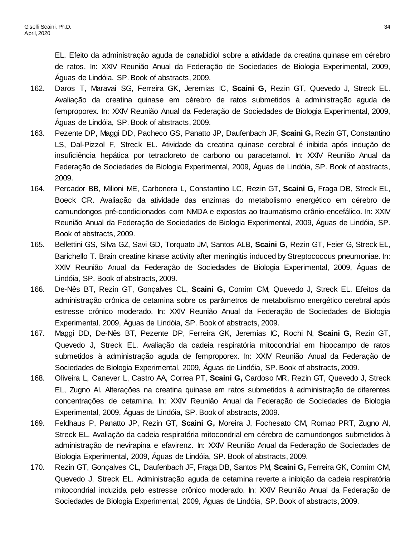EL. Efeito da administração aguda de canabidiol sobre a atividade da creatina quinase em cérebro de ratos. In: XXIV Reunião Anual da Federação de Sociedades de Biologia Experimental, 2009, Águas de Lindóia, SP. Book of abstracts, 2009.

- 162. Daros T, Maravai SG, Ferreira GK, Jeremias IC, **Scaini G,** Rezin GT, Quevedo J, Streck EL. Avaliação da creatina quinase em cérebro de ratos submetidos à administração aguda de femproporex. In: XXIV Reunião Anual da Federação de Sociedades de Biologia Experimental, 2009, Águas de Lindóia, SP. Book of abstracts, 2009.
- 163. Pezente DP, Maggi DD, Pacheco GS, Panatto JP, Daufenbach JF, **Scaini G,** Rezin GT, Constantino LS, Dal-Pizzol F, Streck EL. Atividade da creatina quinase cerebral é inibida após indução de insuficiência hepática por tetracloreto de carbono ou paracetamol. In: XXIV Reunião Anual da Federação de Sociedades de Biologia Experimental, 2009, Águas de Lindóia, SP. Book of abstracts, 2009.
- 164. Percador BB, Milioni ME, Carbonera L, Constantino LC, Rezin GT, **Scaini G,** Fraga DB, Streck EL, Boeck CR. Avaliação da atividade das enzimas do metabolismo energético em cérebro de camundongos pré-condicionados com NMDA e expostos ao traumatismo crânio-encefálico. In: XXIV Reunião Anual da Federação de Sociedades de Biologia Experimental, 2009, Águas de Lindóia, SP. Book of abstracts, 2009.
- 165. Bellettini GS, Silva GZ, Savi GD, Torquato JM, Santos ALB, **Scaini G,** Rezin GT, Feier G, Streck EL, Barichello T. Brain creatine kinase activity after meningitis induced by Streptococcus pneumoniae. In: XXIV Reunião Anual da Federação de Sociedades de Biologia Experimental, 2009, Águas de Lindóia, SP. Book of abstracts, 2009.
- 166. De-Nês BT, Rezin GT, Gonçalves CL, **Scaini G,** Comim CM, Quevedo J, Streck EL. Efeitos da administração crônica de cetamina sobre os parâmetros de metabolismo energético cerebral após estresse crônico moderado. In: XXIV Reunião Anual da Federação de Sociedades de Biologia Experimental, 2009, Águas de Lindóia, SP. Book of abstracts, 2009.
- 167. Maggi DD, De-Nês BT, Pezente DP, Ferreira GK, Jeremias IC, Rochi N, **Scaini G,** Rezin GT, Quevedo J, Streck EL. Avaliação da cadeia respiratória mitocondrial em hipocampo de ratos submetidos à administração aguda de femproporex. In: XXIV Reunião Anual da Federação de Sociedades de Biologia Experimental, 2009, Águas de Lindóia, SP. Book of abstracts, 2009.
- 168. Oliveira L, Canever L, Castro AA, Correa PT, **Scaini G,** Cardoso MR, Rezin GT, Quevedo J, Streck EL, Zugno AI. Alterações na creatina quinase em ratos submetidos à administração de diferentes concentrações de cetamina. In: XXIV Reunião Anual da Federação de Sociedades de Biologia Experimental, 2009, Águas de Lindóia, SP. Book of abstracts, 2009.
- 169. Feldhaus P, Panatto JP, Rezin GT, **Scaini G,** Moreira J, Fochesato CM, Romao PRT, Zugno AI, Streck EL. Avaliação da cadeia respiratória mitocondrial em cérebro de camundongos submetidos à administração de nevirapina e efavirenz. In: XXIV Reunião Anual da Federação de Sociedades de Biologia Experimental, 2009, Águas de Lindóia, SP. Book of abstracts, 2009.
- 170. Rezin GT, Gonçalves CL, Daufenbach JF, Fraga DB, Santos PM, **Scaini G,** Ferreira GK, Comim CM, Quevedo J, Streck EL. Administração aguda de cetamina reverte a inibição da cadeia respiratória mitocondrial induzida pelo estresse crônico moderado. In: XXIV Reunião Anual da Federação de Sociedades de Biologia Experimental, 2009, Águas de Lindóia, SP. Book of abstracts, 2009.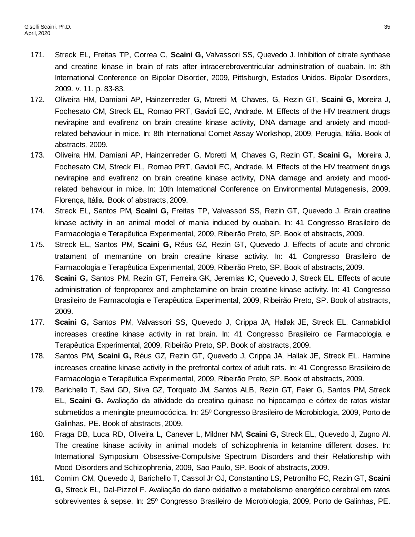- 171. Streck EL, Freitas TP, Correa C, **Scaini G,** Valvassori SS, Quevedo J. Inhibition of citrate synthase and creatine kinase in brain of rats after intracerebroventricular administration of ouabain. In: 8th International Conference on Bipolar Disorder, 2009, Pittsburgh, Estados Unidos. Bipolar Disorders, 2009. v. 11. p. 83-83.
- 172. Oliveira HM, Damiani AP, Hainzenreder G, Moretti M, Chaves, G, Rezin GT, **Scaini G,** Moreira J, Fochesato CM, Streck EL, Romao PRT, Gavioli EC, Andrade. M. Effects of the HIV treatment drugs nevirapine and evafirenz on brain creatine kinase activity, DNA damage and anxiety and moodrelated behaviour in mice. In: 8th International Comet Assay Workshop, 2009, Perugia, Itália. Book of abstracts, 2009.
- 173. Oliveira HM, Damiani AP, Hainzenreder G, Moretti M, Chaves G, Rezin GT, **Scaini G,** Moreira J, Fochesato CM, Streck EL, Romao PRT, Gavioli EC, Andrade. M. Effects of the HIV treatment drugs nevirapine and evafirenz on brain creatine kinase activity, DNA damage and anxiety and moodrelated behaviour in mice. In: 10th International Conference on Environmental Mutagenesis, 2009, Florença, Itália. Book of abstracts, 2009.
- 174. Streck EL, Santos PM, **Scaini G,** Freitas TP, Valvassori SS, Rezin GT, Quevedo J. Brain creatine kinase activity in an animal model of mania induced by ouabain. In: 41 Congresso Brasileiro de Farmacologia e Terapêutica Experimental, 2009, Ribeirão Preto, SP. Book of abstracts, 2009.
- 175. Streck EL, Santos PM, **Scaini G,** Réus GZ, Rezin GT, Quevedo J. Effects of acute and chronic tratament of memantine on brain creatine kinase activity. In: 41 Congresso Brasileiro de Farmacologia e Terapêutica Experimental, 2009, Ribeirão Preto, SP. Book of abstracts, 2009.
- 176. **Scaini G,** Santos PM, Rezin GT, Ferreira GK, Jeremias IC, Quevedo J, Streck EL. Effects of acute administration of fenproporex and amphetamine on brain creatine kinase activity. In: 41 Congresso Brasileiro de Farmacologia e Terapêutica Experimental, 2009, Ribeirão Preto, SP. Book of abstracts, 2009.
- 177. **Scaini G,** Santos PM, Valvassori SS, Quevedo J, Crippa JA, Hallak JE, Streck EL. Cannabidiol increases creatine kinase activity in rat brain. In: 41 Congresso Brasileiro de Farmacologia e Terapêutica Experimental, 2009, Ribeirão Preto, SP. Book of abstracts, 2009.
- 178. Santos PM, **Scaini G,** Réus GZ, Rezin GT, Quevedo J, Crippa JA, Hallak JE, Streck EL. Harmine increases creatine kinase activity in the prefrontal cortex of adult rats. In: 41 Congresso Brasileiro de Farmacologia e Terapêutica Experimental, 2009, Ribeirão Preto, SP. Book of abstracts, 2009.
- 179. Barichello T, Savi GD, Silva GZ, Torquato JM, Santos ALB, Rezin GT, Feier G, Santos PM, Streck EL, **Scaini G.** Avaliação da atividade da creatina quinase no hipocampo e córtex de ratos wistar submetidos a meningite pneumocócica. In: 25º Congresso Brasileiro de Microbiologia, 2009, Porto de Galinhas, PE. Book of abstracts, 2009.
- 180. Fraga DB, Luca RD, Oliveira L, Canever L, Mildner NM, **Scaini G,** Streck EL, Quevedo J, Zugno AI. The creatine kinase activity in animal models of schizophrenia in ketamine different doses. In: International Symposium Obsessive-Compulsive Spectrum Disorders and their Relationship with Mood Disorders and Schizophrenia, 2009, Sao Paulo, SP. Book of abstracts, 2009.
- 181. Comim CM, Quevedo J, Barichello T, Cassol Jr OJ, Constantino LS, Petronilho FC, Rezin GT, **Scaini G,** Streck EL, Dal-Pizzol F. Avaliação do dano oxidativo e metabolismo energético cerebral em ratos sobreviventes à sepse. In: 25º Congresso Brasileiro de Microbiologia, 2009, Porto de Galinhas, PE.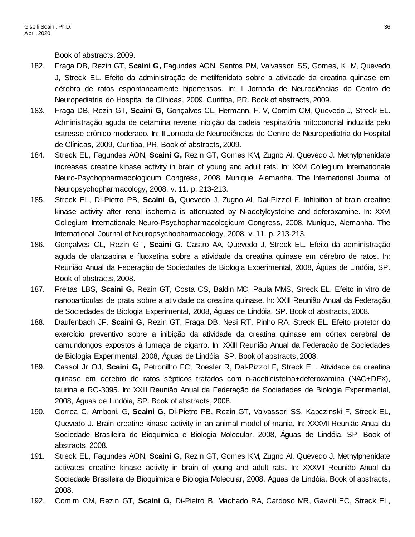Book of abstracts, 2009.

- 182. Fraga DB, Rezin GT, **Scaini G,** Fagundes AON, Santos PM, Valvassori SS, Gomes, K. M, Quevedo J, Streck EL. Efeito da administração de metilfenidato sobre a atividade da creatina quinase em cérebro de ratos espontaneamente hipertensos. In: II Jornada de Neurociências do Centro de Neuropediatria do Hospital de Clínicas, 2009, Curitiba, PR. Book of abstracts, 2009.
- 183. Fraga DB, Rezin GT, **Scaini G,** Gonçalves CL, Hermann, F. V, Comim CM, Quevedo J, Streck EL. Administração aguda de cetamina reverte inibição da cadeia respiratória mitocondrial induzida pelo estresse crônico moderado. In: II Jornada de Neurociências do Centro de Neuropediatria do Hospital de Clínicas, 2009, Curitiba, PR. Book of abstracts, 2009.
- 184. Streck EL, Fagundes AON, **Scaini G,** Rezin GT, Gomes KM, Zugno AI, Quevedo J. Methylphenidate increases creatine kinase activity in brain of young and adult rats. In: XXVI Collegium Internationale Neuro-Psychopharmacologicum Congress, 2008, Munique, Alemanha. The International Journal of Neuropsychopharmacology, 2008. v. 11. p. 213-213.
- 185. Streck EL, Di-Pietro PB, **Scaini G,** Quevedo J, Zugno AI, Dal-Pizzol F. Inhibition of brain creatine kinase activity after renal ischemia is attenuated by N-acetylcysteine and deferoxamine. In: XXVI Collegium Internationale Neuro-Psychopharmacologicum Congress, 2008, Munique, Alemanha. The International Journal of Neuropsychopharmacology, 2008. v. 11. p. 213-213.
- 186. Gonçalves CL, Rezin GT, **Scaini G,** Castro AA, Quevedo J, Streck EL. Efeito da administração aguda de olanzapina e fluoxetina sobre a atividade da creatina quinase em cérebro de ratos. In: Reunião Anual da Federação de Sociedades de Biologia Experimental, 2008, Águas de Lindóia, SP. Book of abstracts, 2008.
- 187. Freitas LBS, **Scaini G,** Rezin GT, Costa CS, Baldin MC, Paula MMS, Streck EL. Efeito in vitro de nanoparticulas de prata sobre a atividade da creatina quinase. In: XXIII Reunião Anual da Federação de Sociedades de Biologia Experimental, 2008, Águas de Lindóia, SP. Book of abstracts, 2008.
- 188. Daufenbach JF, **Scaini G,** Rezin GT, Fraga DB, Nesi RT, Pinho RA, Streck EL. Efeito protetor do exercício preventivo sobre a inibição da atividade da creatina quinase em córtex cerebral de camundongos expostos à fumaça de cigarro. In: XXIII Reunião Anual da Federação de Sociedades de Biologia Experimental, 2008, Águas de Lindóia, SP. Book of abstracts, 2008.
- 189. Cassol Jr OJ, **Scaini G,** Petronilho FC, Roesler R, Dal-Pizzol F, Streck EL. Atividade da creatina quinase em cerebro de ratos sépticos tratados com n-acetilcisteína+deferoxamina (NAC+DFX), taurina e RC-3095. In: XXIII Reunião Anual da Federação de Sociedades de Biologia Experimental, 2008, Águas de Lindóia, SP. Book of abstracts, 2008.
- 190. Correa C, Amboni, G, **Scaini G,** Di-Pietro PB, Rezin GT, Valvassori SS, Kapczinski F, Streck EL, Quevedo J. Brain creatine kinase activity in an animal model of mania. In: XXXVII Reunião Anual da Sociedade Brasileira de Bioquímica e Biologia Molecular, 2008, Águas de Lindóia, SP. Book of abstracts, 2008.
- 191. Streck EL, Fagundes AON, **Scaini G,** Rezin GT, Gomes KM, Zugno AI, Quevedo J. Methylphenidate activates creatine kinase activity in brain of young and adult rats. In: XXXVII Reunião Anual da Sociedade Brasileira de Bioquímica e Biologia Molecular, 2008, Águas de Lindóia. Book of abstracts, 2008.
- 192. Comim CM, Rezin GT, **Scaini G,** Di-Pietro B, Machado RA, Cardoso MR, Gavioli EC, Streck EL,